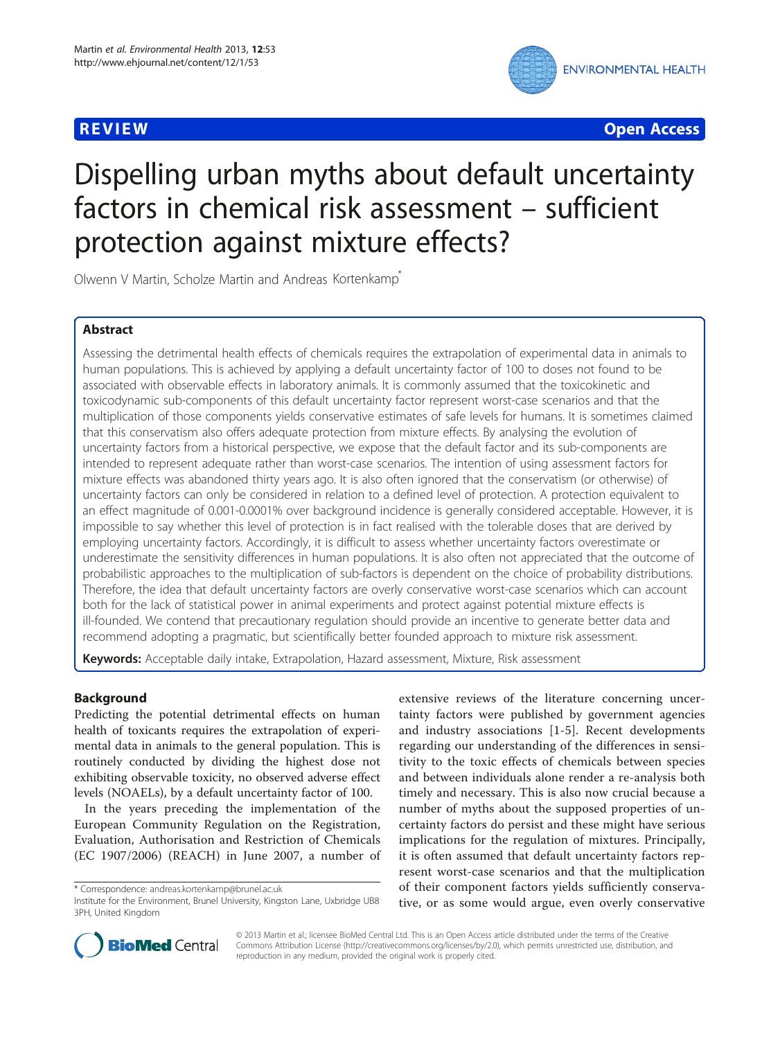

**REVIEW CONTROL** CONTROL CONTROL CONTROL CONTROL CONTROL CONTROL CONTROL CONTROL CONTROL CONTROL CONTROL CONTROL CONTROL CONTROL CONTROL CONTROL CONTROL CONTROL CONTROL CONTROL CONTROL CONTROL CONTROL CONTROL CONTROL CONTR

# Dispelling urban myths about default uncertainty factors in chemical risk assessment – sufficient protection against mixture effects?

Olwenn V Martin, Scholze Martin and Andreas Kortenkamp<sup>\*</sup>

# Abstract

Assessing the detrimental health effects of chemicals requires the extrapolation of experimental data in animals to human populations. This is achieved by applying a default uncertainty factor of 100 to doses not found to be associated with observable effects in laboratory animals. It is commonly assumed that the toxicokinetic and toxicodynamic sub-components of this default uncertainty factor represent worst-case scenarios and that the multiplication of those components yields conservative estimates of safe levels for humans. It is sometimes claimed that this conservatism also offers adequate protection from mixture effects. By analysing the evolution of uncertainty factors from a historical perspective, we expose that the default factor and its sub-components are intended to represent adequate rather than worst-case scenarios. The intention of using assessment factors for mixture effects was abandoned thirty years ago. It is also often ignored that the conservatism (or otherwise) of uncertainty factors can only be considered in relation to a defined level of protection. A protection equivalent to an effect magnitude of 0.001-0.0001% over background incidence is generally considered acceptable. However, it is impossible to say whether this level of protection is in fact realised with the tolerable doses that are derived by employing uncertainty factors. Accordingly, it is difficult to assess whether uncertainty factors overestimate or underestimate the sensitivity differences in human populations. It is also often not appreciated that the outcome of probabilistic approaches to the multiplication of sub-factors is dependent on the choice of probability distributions. Therefore, the idea that default uncertainty factors are overly conservative worst-case scenarios which can account both for the lack of statistical power in animal experiments and protect against potential mixture effects is ill-founded. We contend that precautionary regulation should provide an incentive to generate better data and recommend adopting a pragmatic, but scientifically better founded approach to mixture risk assessment.

Keywords: Acceptable daily intake, Extrapolation, Hazard assessment, Mixture, Risk assessment

# Background

Predicting the potential detrimental effects on human health of toxicants requires the extrapolation of experimental data in animals to the general population. This is routinely conducted by dividing the highest dose not exhibiting observable toxicity, no observed adverse effect levels (NOAELs), by a default uncertainty factor of 100.

In the years preceding the implementation of the European Community Regulation on the Registration, Evaluation, Authorisation and Restriction of Chemicals (EC 1907/2006) (REACH) in June 2007, a number of extensive reviews of the literature concerning uncertainty factors were published by government agencies and industry associations [[1-5\]](#page-18-0). Recent developments regarding our understanding of the differences in sensitivity to the toxic effects of chemicals between species and between individuals alone render a re-analysis both timely and necessary. This is also now crucial because a number of myths about the supposed properties of uncertainty factors do persist and these might have serious implications for the regulation of mixtures. Principally, it is often assumed that default uncertainty factors represent worst-case scenarios and that the multiplication of their component factors yields sufficiently conservative, or as some would argue, even overly conservative



© 2013 Martin et al.; licensee BioMed Central Ltd. This is an Open Access article distributed under the terms of the Creative Commons Attribution License [\(http://creativecommons.org/licenses/by/2.0\)](http://creativecommons.org/licenses/by/2.0), which permits unrestricted use, distribution, and reproduction in any medium, provided the original work is properly cited.

<sup>\*</sup> Correspondence: [andreas.kortenkamp@brunel.ac.uk](mailto:andreas.kortenkamp@brunel.ac.uk)

Institute for the Environment, Brunel University, Kingston Lane, Uxbridge UB8 3PH, United Kingdom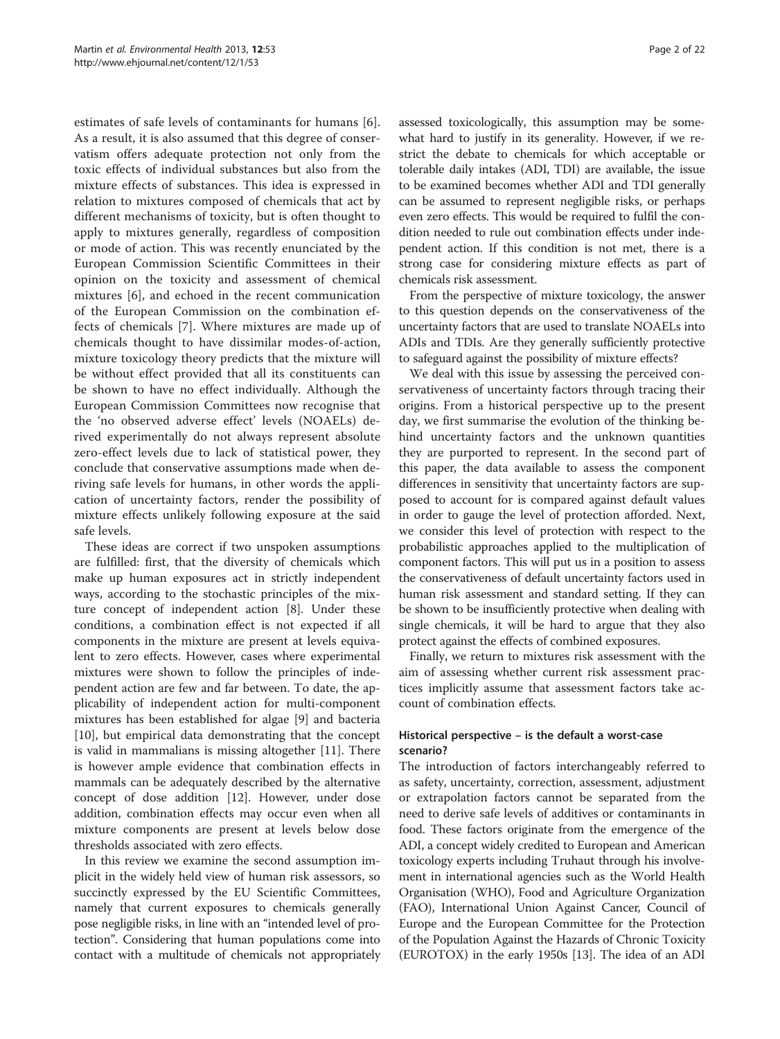estimates of safe levels of contaminants for humans [\[6](#page-18-0)]. As a result, it is also assumed that this degree of conservatism offers adequate protection not only from the toxic effects of individual substances but also from the mixture effects of substances. This idea is expressed in relation to mixtures composed of chemicals that act by different mechanisms of toxicity, but is often thought to apply to mixtures generally, regardless of composition or mode of action. This was recently enunciated by the European Commission Scientific Committees in their opinion on the toxicity and assessment of chemical mixtures [\[6](#page-18-0)], and echoed in the recent communication of the European Commission on the combination effects of chemicals [\[7](#page-18-0)]. Where mixtures are made up of chemicals thought to have dissimilar modes-of-action, mixture toxicology theory predicts that the mixture will be without effect provided that all its constituents can be shown to have no effect individually. Although the European Commission Committees now recognise that the 'no observed adverse effect' levels (NOAELs) derived experimentally do not always represent absolute zero-effect levels due to lack of statistical power, they conclude that conservative assumptions made when deriving safe levels for humans, in other words the application of uncertainty factors, render the possibility of mixture effects unlikely following exposure at the said safe levels.

These ideas are correct if two unspoken assumptions are fulfilled: first, that the diversity of chemicals which make up human exposures act in strictly independent ways, according to the stochastic principles of the mixture concept of independent action [[8\]](#page-18-0). Under these conditions, a combination effect is not expected if all components in the mixture are present at levels equivalent to zero effects. However, cases where experimental mixtures were shown to follow the principles of independent action are few and far between. To date, the applicability of independent action for multi-component mixtures has been established for algae [[9\]](#page-18-0) and bacteria [[10\]](#page-18-0), but empirical data demonstrating that the concept is valid in mammalians is missing altogether [[11\]](#page-18-0). There is however ample evidence that combination effects in mammals can be adequately described by the alternative concept of dose addition [[12](#page-19-0)]. However, under dose addition, combination effects may occur even when all mixture components are present at levels below dose thresholds associated with zero effects.

In this review we examine the second assumption implicit in the widely held view of human risk assessors, so succinctly expressed by the EU Scientific Committees, namely that current exposures to chemicals generally pose negligible risks, in line with an "intended level of protection". Considering that human populations come into contact with a multitude of chemicals not appropriately

assessed toxicologically, this assumption may be somewhat hard to justify in its generality. However, if we restrict the debate to chemicals for which acceptable or tolerable daily intakes (ADI, TDI) are available, the issue to be examined becomes whether ADI and TDI generally can be assumed to represent negligible risks, or perhaps even zero effects. This would be required to fulfil the condition needed to rule out combination effects under independent action. If this condition is not met, there is a strong case for considering mixture effects as part of chemicals risk assessment.

From the perspective of mixture toxicology, the answer to this question depends on the conservativeness of the uncertainty factors that are used to translate NOAELs into ADIs and TDIs. Are they generally sufficiently protective to safeguard against the possibility of mixture effects?

We deal with this issue by assessing the perceived conservativeness of uncertainty factors through tracing their origins. From a historical perspective up to the present day, we first summarise the evolution of the thinking behind uncertainty factors and the unknown quantities they are purported to represent. In the second part of this paper, the data available to assess the component differences in sensitivity that uncertainty factors are supposed to account for is compared against default values in order to gauge the level of protection afforded. Next, we consider this level of protection with respect to the probabilistic approaches applied to the multiplication of component factors. This will put us in a position to assess the conservativeness of default uncertainty factors used in human risk assessment and standard setting. If they can be shown to be insufficiently protective when dealing with single chemicals, it will be hard to argue that they also protect against the effects of combined exposures.

Finally, we return to mixtures risk assessment with the aim of assessing whether current risk assessment practices implicitly assume that assessment factors take account of combination effects.

# Historical perspective – is the default a worst-case scenario?

The introduction of factors interchangeably referred to as safety, uncertainty, correction, assessment, adjustment or extrapolation factors cannot be separated from the need to derive safe levels of additives or contaminants in food. These factors originate from the emergence of the ADI, a concept widely credited to European and American toxicology experts including Truhaut through his involvement in international agencies such as the World Health Organisation (WHO), Food and Agriculture Organization (FAO), International Union Against Cancer, Council of Europe and the European Committee for the Protection of the Population Against the Hazards of Chronic Toxicity (EUROTOX) in the early 1950s [\[13\]](#page-19-0). The idea of an ADI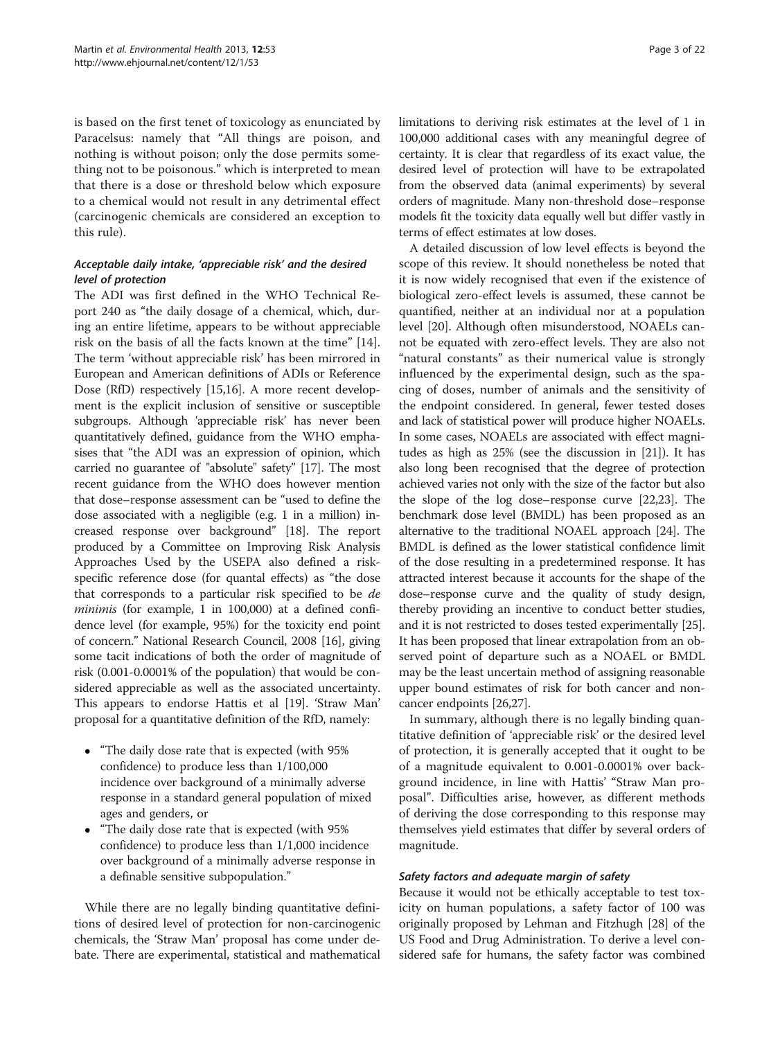is based on the first tenet of toxicology as enunciated by Paracelsus: namely that "All things are poison, and nothing is without poison; only the dose permits something not to be poisonous." which is interpreted to mean that there is a dose or threshold below which exposure to a chemical would not result in any detrimental effect (carcinogenic chemicals are considered an exception to this rule).

# Acceptable daily intake, 'appreciable risk' and the desired level of protection

The ADI was first defined in the WHO Technical Report 240 as "the daily dosage of a chemical, which, during an entire lifetime, appears to be without appreciable risk on the basis of all the facts known at the time" [\[14](#page-19-0)]. The term 'without appreciable risk' has been mirrored in European and American definitions of ADIs or Reference Dose (RfD) respectively [\[15,16\]](#page-19-0). A more recent development is the explicit inclusion of sensitive or susceptible subgroups. Although 'appreciable risk' has never been quantitatively defined, guidance from the WHO emphasises that "the ADI was an expression of opinion, which carried no guarantee of "absolute" safety" [[17](#page-19-0)]. The most recent guidance from the WHO does however mention that dose–response assessment can be "used to define the dose associated with a negligible (e.g. 1 in a million) increased response over background" [\[18\]](#page-19-0). The report produced by a Committee on Improving Risk Analysis Approaches Used by the USEPA also defined a riskspecific reference dose (for quantal effects) as "the dose that corresponds to a particular risk specified to be de minimis (for example, 1 in 100,000) at a defined confidence level (for example, 95%) for the toxicity end point of concern." National Research Council, 2008 [\[16](#page-19-0)], giving some tacit indications of both the order of magnitude of risk (0.001-0.0001% of the population) that would be considered appreciable as well as the associated uncertainty. This appears to endorse Hattis et al [[19](#page-19-0)]. 'Straw Man' proposal for a quantitative definition of the RfD, namely:

- "The daily dose rate that is expected (with 95% confidence) to produce less than 1/100,000 incidence over background of a minimally adverse response in a standard general population of mixed ages and genders, or
- "The daily dose rate that is expected (with 95% confidence) to produce less than 1/1,000 incidence over background of a minimally adverse response in a definable sensitive subpopulation."

While there are no legally binding quantitative definitions of desired level of protection for non-carcinogenic chemicals, the 'Straw Man' proposal has come under debate. There are experimental, statistical and mathematical limitations to deriving risk estimates at the level of 1 in 100,000 additional cases with any meaningful degree of certainty. It is clear that regardless of its exact value, the desired level of protection will have to be extrapolated from the observed data (animal experiments) by several orders of magnitude. Many non-threshold dose–response models fit the toxicity data equally well but differ vastly in terms of effect estimates at low doses.

A detailed discussion of low level effects is beyond the scope of this review. It should nonetheless be noted that it is now widely recognised that even if the existence of biological zero-effect levels is assumed, these cannot be quantified, neither at an individual nor at a population level [[20\]](#page-19-0). Although often misunderstood, NOAELs cannot be equated with zero-effect levels. They are also not "natural constants" as their numerical value is strongly influenced by the experimental design, such as the spacing of doses, number of animals and the sensitivity of the endpoint considered. In general, fewer tested doses and lack of statistical power will produce higher NOAELs. In some cases, NOAELs are associated with effect magnitudes as high as 25% (see the discussion in [[21\]](#page-19-0)). It has also long been recognised that the degree of protection achieved varies not only with the size of the factor but also the slope of the log dose–response curve [\[22,23](#page-19-0)]. The benchmark dose level (BMDL) has been proposed as an alternative to the traditional NOAEL approach [\[24\]](#page-19-0). The BMDL is defined as the lower statistical confidence limit of the dose resulting in a predetermined response. It has attracted interest because it accounts for the shape of the dose–response curve and the quality of study design, thereby providing an incentive to conduct better studies, and it is not restricted to doses tested experimentally [[25](#page-19-0)]. It has been proposed that linear extrapolation from an observed point of departure such as a NOAEL or BMDL may be the least uncertain method of assigning reasonable upper bound estimates of risk for both cancer and noncancer endpoints [[26](#page-19-0),[27](#page-19-0)].

In summary, although there is no legally binding quantitative definition of 'appreciable risk' or the desired level of protection, it is generally accepted that it ought to be of a magnitude equivalent to 0.001-0.0001% over background incidence, in line with Hattis' "Straw Man proposal". Difficulties arise, however, as different methods of deriving the dose corresponding to this response may themselves yield estimates that differ by several orders of magnitude.

# Safety factors and adequate margin of safety

Because it would not be ethically acceptable to test toxicity on human populations, a safety factor of 100 was originally proposed by Lehman and Fitzhugh [[28\]](#page-19-0) of the US Food and Drug Administration. To derive a level considered safe for humans, the safety factor was combined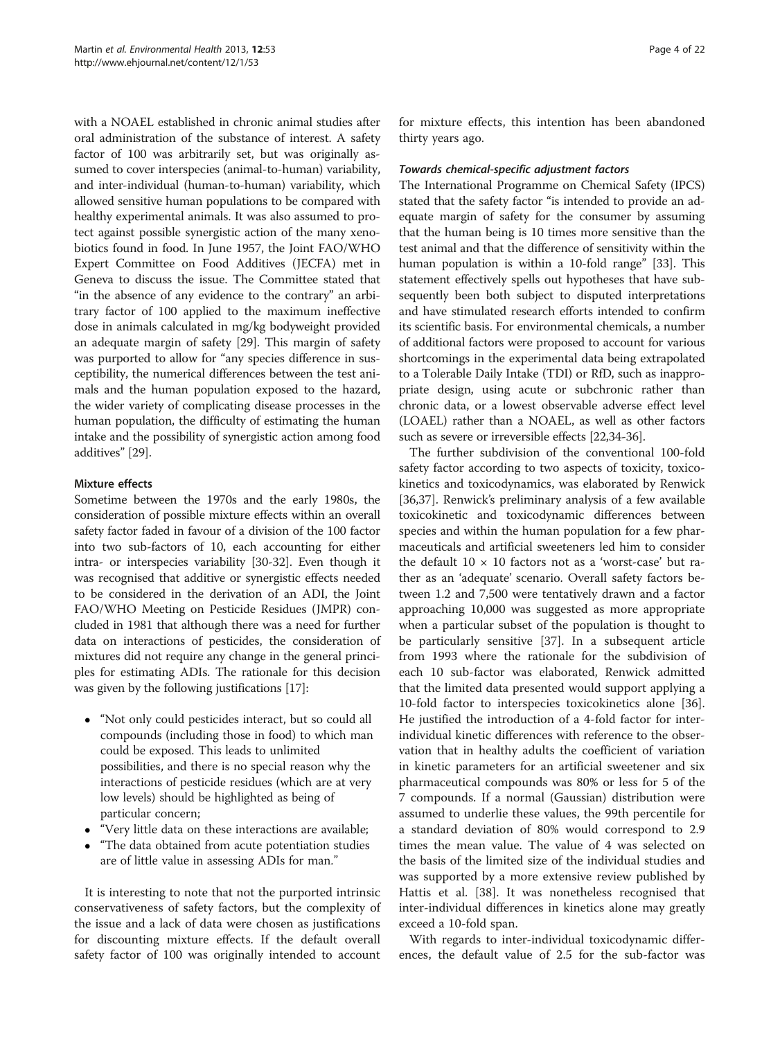with a NOAEL established in chronic animal studies after oral administration of the substance of interest. A safety factor of 100 was arbitrarily set, but was originally assumed to cover interspecies (animal-to-human) variability, and inter-individual (human-to-human) variability, which allowed sensitive human populations to be compared with healthy experimental animals. It was also assumed to protect against possible synergistic action of the many xenobiotics found in food. In June 1957, the Joint FAO/WHO Expert Committee on Food Additives (JECFA) met in Geneva to discuss the issue. The Committee stated that "in the absence of any evidence to the contrary" an arbitrary factor of 100 applied to the maximum ineffective dose in animals calculated in mg/kg bodyweight provided an adequate margin of safety [[29](#page-19-0)]. This margin of safety was purported to allow for "any species difference in susceptibility, the numerical differences between the test animals and the human population exposed to the hazard, the wider variety of complicating disease processes in the human population, the difficulty of estimating the human intake and the possibility of synergistic action among food additives" [[29\]](#page-19-0).

# Mixture effects

Sometime between the 1970s and the early 1980s, the consideration of possible mixture effects within an overall safety factor faded in favour of a division of the 100 factor into two sub-factors of 10, each accounting for either intra- or interspecies variability [\[30-32\]](#page-19-0). Even though it was recognised that additive or synergistic effects needed to be considered in the derivation of an ADI, the Joint FAO/WHO Meeting on Pesticide Residues (JMPR) concluded in 1981 that although there was a need for further data on interactions of pesticides, the consideration of mixtures did not require any change in the general principles for estimating ADIs. The rationale for this decision was given by the following justifications [[17\]](#page-19-0):

- "Not only could pesticides interact, but so could all compounds (including those in food) to which man could be exposed. This leads to unlimited possibilities, and there is no special reason why the interactions of pesticide residues (which are at very low levels) should be highlighted as being of particular concern;
- "Very little data on these interactions are available;
- "The data obtained from acute potentiation studies are of little value in assessing ADIs for man."

It is interesting to note that not the purported intrinsic conservativeness of safety factors, but the complexity of the issue and a lack of data were chosen as justifications for discounting mixture effects. If the default overall safety factor of 100 was originally intended to account for mixture effects, this intention has been abandoned thirty years ago.

#### Towards chemical-specific adjustment factors

The International Programme on Chemical Safety (IPCS) stated that the safety factor "is intended to provide an adequate margin of safety for the consumer by assuming that the human being is 10 times more sensitive than the test animal and that the difference of sensitivity within the human population is within a 10-fold range" [\[33](#page-19-0)]. This statement effectively spells out hypotheses that have subsequently been both subject to disputed interpretations and have stimulated research efforts intended to confirm its scientific basis. For environmental chemicals, a number of additional factors were proposed to account for various shortcomings in the experimental data being extrapolated to a Tolerable Daily Intake (TDI) or RfD, such as inappropriate design, using acute or subchronic rather than chronic data, or a lowest observable adverse effect level (LOAEL) rather than a NOAEL, as well as other factors such as severe or irreversible effects [\[22,34-36\]](#page-19-0).

The further subdivision of the conventional 100-fold safety factor according to two aspects of toxicity, toxicokinetics and toxicodynamics, was elaborated by Renwick [[36,37\]](#page-19-0). Renwick's preliminary analysis of a few available toxicokinetic and toxicodynamic differences between species and within the human population for a few pharmaceuticals and artificial sweeteners led him to consider the default  $10 \times 10$  factors not as a 'worst-case' but rather as an 'adequate' scenario. Overall safety factors between 1.2 and 7,500 were tentatively drawn and a factor approaching 10,000 was suggested as more appropriate when a particular subset of the population is thought to be particularly sensitive [[37\]](#page-19-0). In a subsequent article from 1993 where the rationale for the subdivision of each 10 sub-factor was elaborated, Renwick admitted that the limited data presented would support applying a 10-fold factor to interspecies toxicokinetics alone [\[36](#page-19-0)]. He justified the introduction of a 4-fold factor for interindividual kinetic differences with reference to the observation that in healthy adults the coefficient of variation in kinetic parameters for an artificial sweetener and six pharmaceutical compounds was 80% or less for 5 of the 7 compounds. If a normal (Gaussian) distribution were assumed to underlie these values, the 99th percentile for a standard deviation of 80% would correspond to 2.9 times the mean value. The value of 4 was selected on the basis of the limited size of the individual studies and was supported by a more extensive review published by Hattis et al. [\[38\]](#page-19-0). It was nonetheless recognised that inter-individual differences in kinetics alone may greatly exceed a 10-fold span.

With regards to inter-individual toxicodynamic differences, the default value of 2.5 for the sub-factor was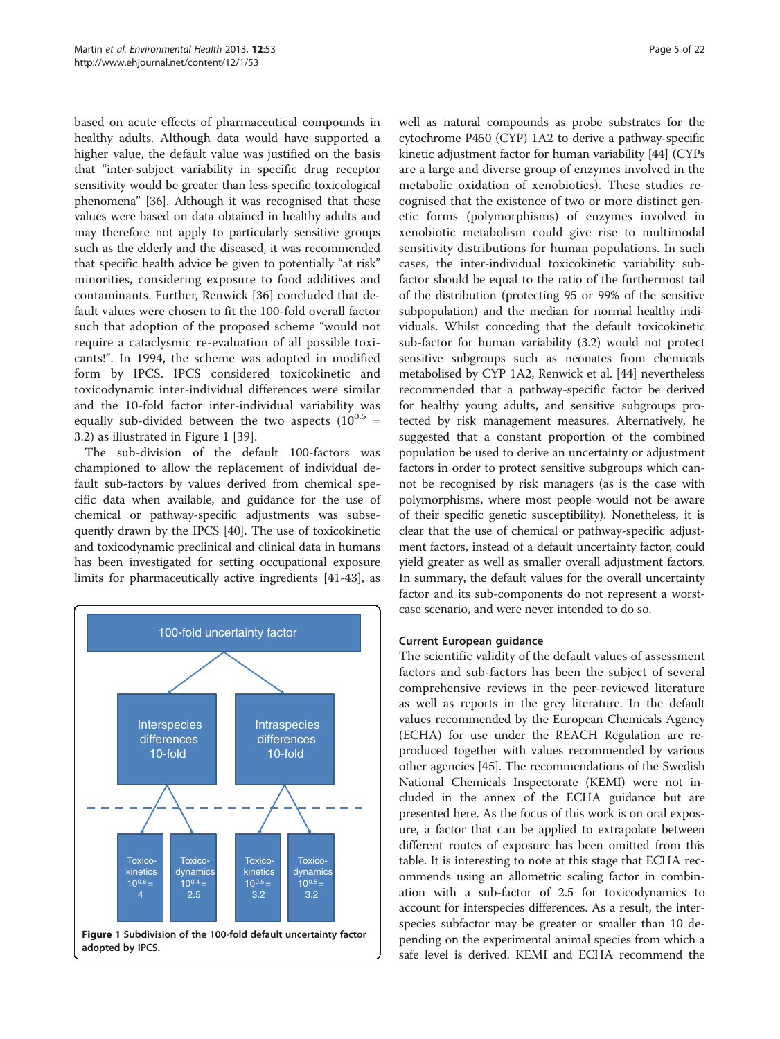<span id="page-4-0"></span>based on acute effects of pharmaceutical compounds in healthy adults. Although data would have supported a higher value, the default value was justified on the basis that "inter-subject variability in specific drug receptor sensitivity would be greater than less specific toxicological phenomena" [\[36\]](#page-19-0). Although it was recognised that these values were based on data obtained in healthy adults and may therefore not apply to particularly sensitive groups such as the elderly and the diseased, it was recommended that specific health advice be given to potentially "at risk" minorities, considering exposure to food additives and contaminants. Further, Renwick [[36\]](#page-19-0) concluded that default values were chosen to fit the 100-fold overall factor such that adoption of the proposed scheme "would not require a cataclysmic re-evaluation of all possible toxicants!". In 1994, the scheme was adopted in modified form by IPCS. IPCS considered toxicokinetic and toxicodynamic inter-individual differences were similar and the 10-fold factor inter-individual variability was equally sub-divided between the two aspects  $(10^{0.5}$  = 3.2) as illustrated in Figure 1 [[39](#page-19-0)].

The sub-division of the default 100-factors was championed to allow the replacement of individual default sub-factors by values derived from chemical specific data when available, and guidance for the use of chemical or pathway-specific adjustments was subsequently drawn by the IPCS [[40](#page-19-0)]. The use of toxicokinetic and toxicodynamic preclinical and clinical data in humans has been investigated for setting occupational exposure limits for pharmaceutically active ingredients [\[41-43\]](#page-19-0), as



well as natural compounds as probe substrates for the cytochrome P450 (CYP) 1A2 to derive a pathway-specific kinetic adjustment factor for human variability [\[44\]](#page-19-0) (CYPs are a large and diverse group of enzymes involved in the metabolic oxidation of xenobiotics). These studies recognised that the existence of two or more distinct genetic forms (polymorphisms) of enzymes involved in xenobiotic metabolism could give rise to multimodal sensitivity distributions for human populations. In such cases, the inter-individual toxicokinetic variability subfactor should be equal to the ratio of the furthermost tail of the distribution (protecting 95 or 99% of the sensitive subpopulation) and the median for normal healthy individuals. Whilst conceding that the default toxicokinetic sub-factor for human variability (3.2) would not protect sensitive subgroups such as neonates from chemicals metabolised by CYP 1A2, Renwick et al. [[44](#page-19-0)] nevertheless recommended that a pathway-specific factor be derived for healthy young adults, and sensitive subgroups protected by risk management measures. Alternatively, he suggested that a constant proportion of the combined population be used to derive an uncertainty or adjustment factors in order to protect sensitive subgroups which cannot be recognised by risk managers (as is the case with polymorphisms, where most people would not be aware of their specific genetic susceptibility). Nonetheless, it is clear that the use of chemical or pathway-specific adjustment factors, instead of a default uncertainty factor, could yield greater as well as smaller overall adjustment factors. In summary, the default values for the overall uncertainty factor and its sub-components do not represent a worstcase scenario, and were never intended to do so.

#### Current European guidance

The scientific validity of the default values of assessment factors and sub-factors has been the subject of several comprehensive reviews in the peer-reviewed literature as well as reports in the grey literature. In the default values recommended by the European Chemicals Agency (ECHA) for use under the REACH Regulation are reproduced together with values recommended by various other agencies [\[45\]](#page-19-0). The recommendations of the Swedish National Chemicals Inspectorate (KEMI) were not included in the annex of the ECHA guidance but are presented here. As the focus of this work is on oral exposure, a factor that can be applied to extrapolate between different routes of exposure has been omitted from this table. It is interesting to note at this stage that ECHA recommends using an allometric scaling factor in combination with a sub-factor of 2.5 for toxicodynamics to account for interspecies differences. As a result, the interspecies subfactor may be greater or smaller than 10 depending on the experimental animal species from which a safe level is derived. KEMI and ECHA recommend the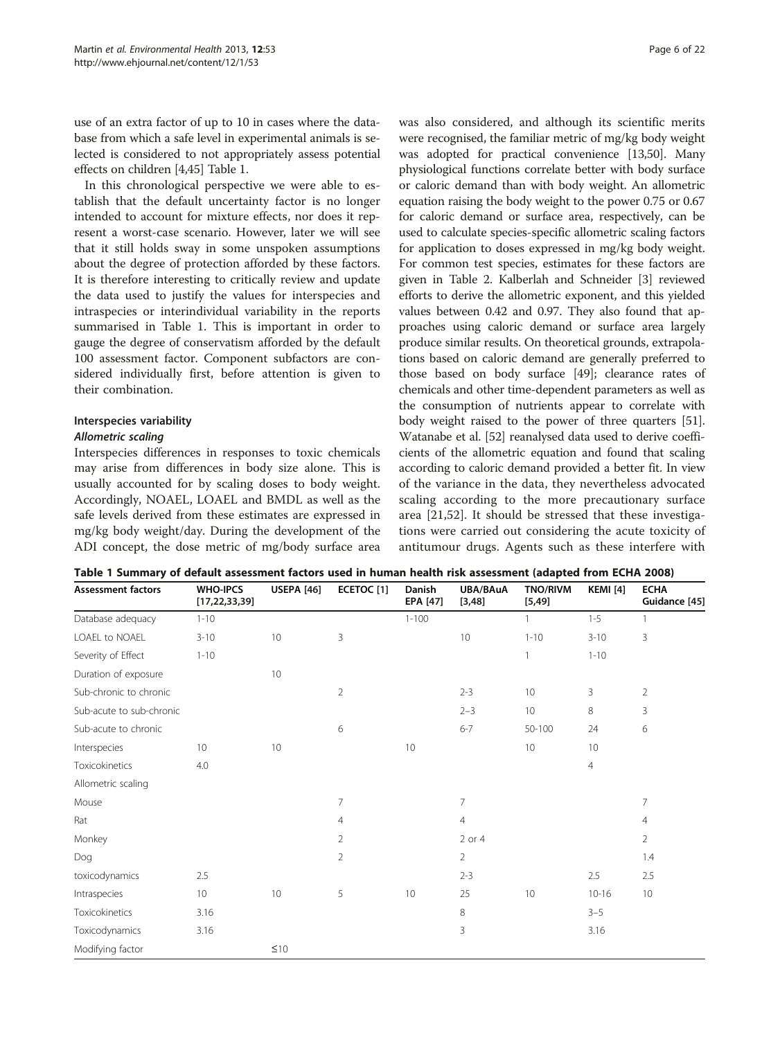use of an extra factor of up to 10 in cases where the database from which a safe level in experimental animals is selected is considered to not appropriately assess potential effects on children [\[4](#page-18-0)[,45\]](#page-19-0) Table 1.

In this chronological perspective we were able to establish that the default uncertainty factor is no longer intended to account for mixture effects, nor does it represent a worst-case scenario. However, later we will see that it still holds sway in some unspoken assumptions about the degree of protection afforded by these factors. It is therefore interesting to critically review and update the data used to justify the values for interspecies and intraspecies or interindividual variability in the reports summarised in Table 1. This is important in order to gauge the degree of conservatism afforded by the default 100 assessment factor. Component subfactors are considered individually first, before attention is given to their combination.

#### Interspecies variability

# Allometric scaling

Interspecies differences in responses to toxic chemicals may arise from differences in body size alone. This is usually accounted for by scaling doses to body weight. Accordingly, NOAEL, LOAEL and BMDL as well as the safe levels derived from these estimates are expressed in mg/kg body weight/day. During the development of the ADI concept, the dose metric of mg/body surface area was also considered, and although its scientific merits were recognised, the familiar metric of mg/kg body weight was adopted for practical convenience [\[13,50\]](#page-19-0). Many physiological functions correlate better with body surface or caloric demand than with body weight. An allometric equation raising the body weight to the power 0.75 or 0.67 for caloric demand or surface area, respectively, can be used to calculate species-specific allometric scaling factors for application to doses expressed in mg/kg body weight. For common test species, estimates for these factors are given in Table [2](#page-6-0). Kalberlah and Schneider [[3](#page-18-0)] reviewed efforts to derive the allometric exponent, and this yielded values between 0.42 and 0.97. They also found that approaches using caloric demand or surface area largely produce similar results. On theoretical grounds, extrapolations based on caloric demand are generally preferred to those based on body surface [\[49\]](#page-19-0); clearance rates of chemicals and other time-dependent parameters as well as the consumption of nutrients appear to correlate with body weight raised to the power of three quarters [[51](#page-19-0)]. Watanabe et al. [\[52](#page-19-0)] reanalysed data used to derive coefficients of the allometric equation and found that scaling according to caloric demand provided a better fit. In view of the variance in the data, they nevertheless advocated scaling according to the more precautionary surface area [[21,52](#page-19-0)]. It should be stressed that these investigations were carried out considering the acute toxicity of antitumour drugs. Agents such as these interfere with

|  |  |  | Table 1 Summary of default assessment factors used in human health risk assessment (adapted from ECHA 2008) |  |  |  |  |  |  |  |  |  |  |
|--|--|--|-------------------------------------------------------------------------------------------------------------|--|--|--|--|--|--|--|--|--|--|
|--|--|--|-------------------------------------------------------------------------------------------------------------|--|--|--|--|--|--|--|--|--|--|

| <b>Assessment factors</b> | <b>WHO-IPCS</b><br>[17, 22, 33, 39] | <b>USEPA [46]</b> | ECETOC <sup>[1]</sup> | Danish<br>EPA [47] | UBA/BAuA<br>$[3,48]$ | <b>TNO/RIVM</b><br>$[5,49]$ | <b>KEMI [4]</b> | <b>ECHA</b><br>Guidance [45] |
|---------------------------|-------------------------------------|-------------------|-----------------------|--------------------|----------------------|-----------------------------|-----------------|------------------------------|
| Database adequacy         | $1 - 10$                            |                   |                       | $1 - 100$          |                      | 1                           | $1 - 5$         | $\mathbf{1}$                 |
| LOAEL to NOAEL            | $3 - 10$                            | 10                | 3                     |                    | 10                   | $1 - 10$                    | $3 - 10$        | 3                            |
| Severity of Effect        | $1 - 10$                            |                   |                       |                    |                      | 1                           | $1 - 10$        |                              |
| Duration of exposure      |                                     | 10                |                       |                    |                      |                             |                 |                              |
| Sub-chronic to chronic    |                                     |                   | $\overline{2}$        |                    | $2 - 3$              | 10                          | 3               | $\overline{2}$               |
| Sub-acute to sub-chronic  |                                     |                   |                       |                    | $2 - 3$              | 10                          | 8               | 3                            |
| Sub-acute to chronic      |                                     |                   | 6                     |                    | $6 - 7$              | 50-100                      | 24              | 6                            |
| Interspecies              | 10                                  | 10                |                       | 10                 |                      | 10                          | 10              |                              |
| Toxicokinetics            | 4.0                                 |                   |                       |                    |                      |                             | $\overline{4}$  |                              |
| Allometric scaling        |                                     |                   |                       |                    |                      |                             |                 |                              |
| Mouse                     |                                     |                   | 7                     |                    | $\overline{7}$       |                             |                 | $\overline{7}$               |
| Rat                       |                                     |                   | $\overline{4}$        |                    | $\overline{4}$       |                             |                 | 4                            |
| Monkey                    |                                     |                   | $\overline{2}$        |                    | $2$ or $4$           |                             |                 | $\overline{2}$               |
| Dog                       |                                     |                   | $\overline{2}$        |                    | $\overline{2}$       |                             |                 | 1.4                          |
| toxicodynamics            | 2.5                                 |                   |                       |                    | $2 - 3$              |                             | 2.5             | 2.5                          |
| Intraspecies              | 10 <sup>°</sup>                     | 10                | 5                     | 10                 | 25                   | 10                          | $10 - 16$       | 10                           |
| Toxicokinetics            | 3.16                                |                   |                       |                    | 8                    |                             | $3 - 5$         |                              |
| Toxicodynamics            | 3.16                                |                   |                       |                    | 3                    |                             | 3.16            |                              |
| Modifying factor          |                                     | $\leq 10$         |                       |                    |                      |                             |                 |                              |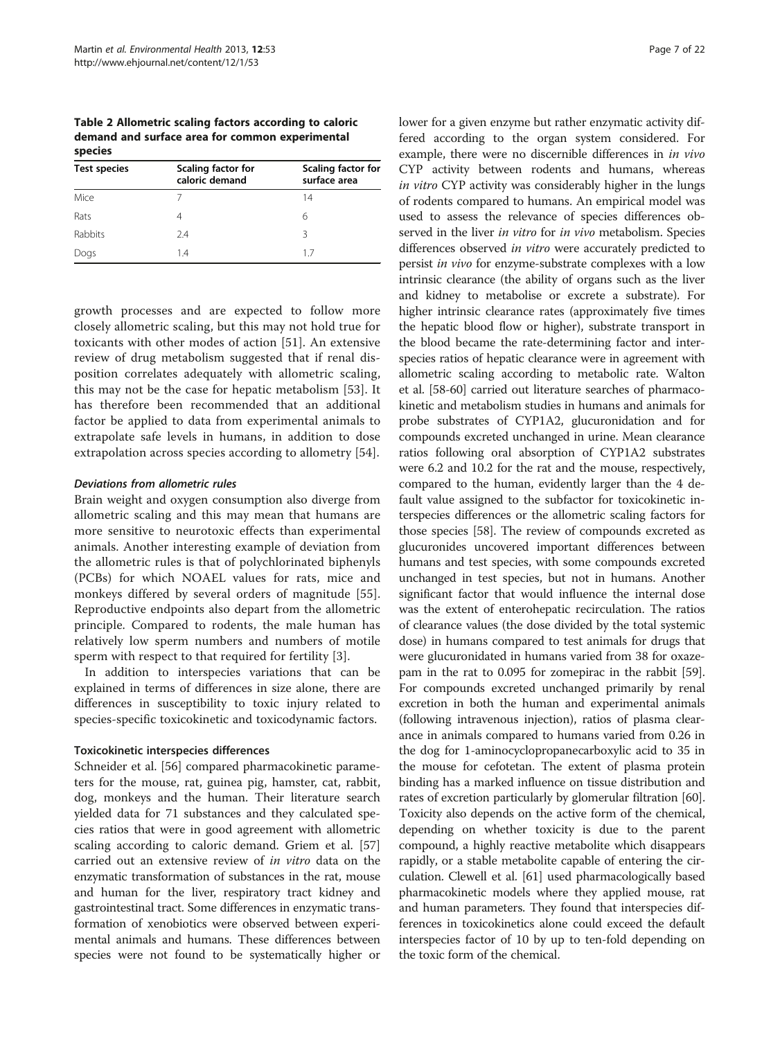<span id="page-6-0"></span>Table 2 Allometric scaling factors according to caloric demand and surface area for common experimental species

| <b>Test species</b> | Scaling factor for<br>caloric demand | Scaling factor for<br>surface area |  |  |  |  |
|---------------------|--------------------------------------|------------------------------------|--|--|--|--|
| Mice                |                                      | 14                                 |  |  |  |  |
| Rats                | 4                                    | 6                                  |  |  |  |  |
| Rabbits             | 2.4                                  | ζ                                  |  |  |  |  |
| Dogs                | 1.4                                  | 17                                 |  |  |  |  |

growth processes and are expected to follow more closely allometric scaling, but this may not hold true for toxicants with other modes of action [[51\]](#page-19-0). An extensive review of drug metabolism suggested that if renal disposition correlates adequately with allometric scaling, this may not be the case for hepatic metabolism [\[53](#page-19-0)]. It has therefore been recommended that an additional factor be applied to data from experimental animals to extrapolate safe levels in humans, in addition to dose extrapolation across species according to allometry [\[54](#page-19-0)].

#### Deviations from allometric rules

Brain weight and oxygen consumption also diverge from allometric scaling and this may mean that humans are more sensitive to neurotoxic effects than experimental animals. Another interesting example of deviation from the allometric rules is that of polychlorinated biphenyls (PCBs) for which NOAEL values for rats, mice and monkeys differed by several orders of magnitude [\[55](#page-19-0)]. Reproductive endpoints also depart from the allometric principle. Compared to rodents, the male human has relatively low sperm numbers and numbers of motile sperm with respect to that required for fertility [[3\]](#page-18-0).

In addition to interspecies variations that can be explained in terms of differences in size alone, there are differences in susceptibility to toxic injury related to species-specific toxicokinetic and toxicodynamic factors.

# Toxicokinetic interspecies differences

Schneider et al. [\[56\]](#page-20-0) compared pharmacokinetic parameters for the mouse, rat, guinea pig, hamster, cat, rabbit, dog, monkeys and the human. Their literature search yielded data for 71 substances and they calculated species ratios that were in good agreement with allometric scaling according to caloric demand. Griem et al. [[57](#page-20-0)] carried out an extensive review of in vitro data on the enzymatic transformation of substances in the rat, mouse and human for the liver, respiratory tract kidney and gastrointestinal tract. Some differences in enzymatic transformation of xenobiotics were observed between experimental animals and humans. These differences between species were not found to be systematically higher or lower for a given enzyme but rather enzymatic activity differed according to the organ system considered. For example, there were no discernible differences in in vivo CYP activity between rodents and humans, whereas in vitro CYP activity was considerably higher in the lungs of rodents compared to humans. An empirical model was used to assess the relevance of species differences observed in the liver in vitro for in vivo metabolism. Species differences observed in vitro were accurately predicted to persist in vivo for enzyme-substrate complexes with a low intrinsic clearance (the ability of organs such as the liver and kidney to metabolise or excrete a substrate). For higher intrinsic clearance rates (approximately five times the hepatic blood flow or higher), substrate transport in the blood became the rate-determining factor and interspecies ratios of hepatic clearance were in agreement with allometric scaling according to metabolic rate. Walton et al. [[58](#page-20-0)-[60](#page-20-0)] carried out literature searches of pharmacokinetic and metabolism studies in humans and animals for probe substrates of CYP1A2, glucuronidation and for compounds excreted unchanged in urine. Mean clearance ratios following oral absorption of CYP1A2 substrates were 6.2 and 10.2 for the rat and the mouse, respectively, compared to the human, evidently larger than the 4 default value assigned to the subfactor for toxicokinetic interspecies differences or the allometric scaling factors for those species [\[58\]](#page-20-0). The review of compounds excreted as glucuronides uncovered important differences between humans and test species, with some compounds excreted unchanged in test species, but not in humans. Another significant factor that would influence the internal dose was the extent of enterohepatic recirculation. The ratios of clearance values (the dose divided by the total systemic dose) in humans compared to test animals for drugs that were glucuronidated in humans varied from 38 for oxazepam in the rat to 0.095 for zomepirac in the rabbit [[59](#page-20-0)]. For compounds excreted unchanged primarily by renal excretion in both the human and experimental animals (following intravenous injection), ratios of plasma clearance in animals compared to humans varied from 0.26 in the dog for 1-aminocyclopropanecarboxylic acid to 35 in the mouse for cefotetan. The extent of plasma protein binding has a marked influence on tissue distribution and rates of excretion particularly by glomerular filtration [[60](#page-20-0)]. Toxicity also depends on the active form of the chemical, depending on whether toxicity is due to the parent compound, a highly reactive metabolite which disappears rapidly, or a stable metabolite capable of entering the circulation. Clewell et al. [[61](#page-20-0)] used pharmacologically based pharmacokinetic models where they applied mouse, rat and human parameters. They found that interspecies differences in toxicokinetics alone could exceed the default interspecies factor of 10 by up to ten-fold depending on the toxic form of the chemical.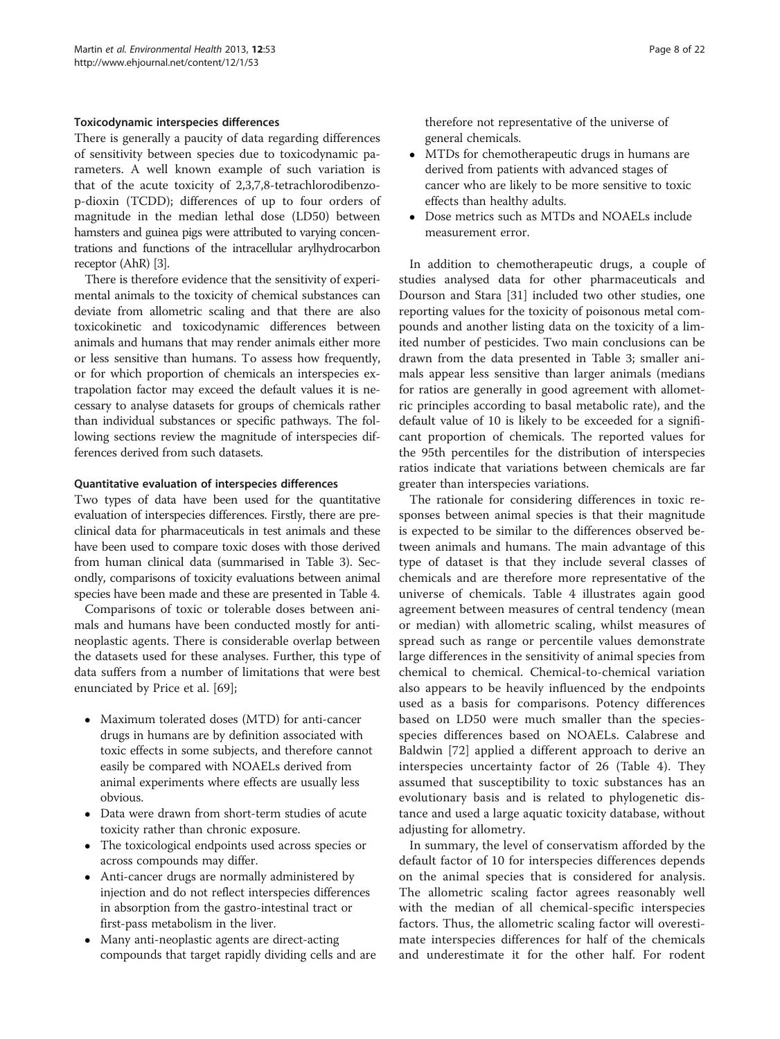## Toxicodynamic interspecies differences

There is generally a paucity of data regarding differences of sensitivity between species due to toxicodynamic parameters. A well known example of such variation is that of the acute toxicity of 2,3,7,8-tetrachlorodibenzop-dioxin (TCDD); differences of up to four orders of magnitude in the median lethal dose (LD50) between hamsters and guinea pigs were attributed to varying concentrations and functions of the intracellular arylhydrocarbon receptor (AhR) [\[3\]](#page-18-0).

There is therefore evidence that the sensitivity of experimental animals to the toxicity of chemical substances can deviate from allometric scaling and that there are also toxicokinetic and toxicodynamic differences between animals and humans that may render animals either more or less sensitive than humans. To assess how frequently, or for which proportion of chemicals an interspecies extrapolation factor may exceed the default values it is necessary to analyse datasets for groups of chemicals rather than individual substances or specific pathways. The following sections review the magnitude of interspecies differences derived from such datasets.

#### Quantitative evaluation of interspecies differences

Two types of data have been used for the quantitative evaluation of interspecies differences. Firstly, there are preclinical data for pharmaceuticals in test animals and these have been used to compare toxic doses with those derived from human clinical data (summarised in Table [3](#page-8-0)). Secondly, comparisons of toxicity evaluations between animal species have been made and these are presented in Table [4](#page-9-0).

Comparisons of toxic or tolerable doses between animals and humans have been conducted mostly for antineoplastic agents. There is considerable overlap between the datasets used for these analyses. Further, this type of data suffers from a number of limitations that were best enunciated by Price et al. [[69\]](#page-20-0);

- Maximum tolerated doses (MTD) for anti-cancer drugs in humans are by definition associated with toxic effects in some subjects, and therefore cannot easily be compared with NOAELs derived from animal experiments where effects are usually less obvious.
- Data were drawn from short-term studies of acute toxicity rather than chronic exposure.
- The toxicological endpoints used across species or across compounds may differ.
- Anti-cancer drugs are normally administered by injection and do not reflect interspecies differences in absorption from the gastro-intestinal tract or first-pass metabolism in the liver.
- Many anti-neoplastic agents are direct-acting compounds that target rapidly dividing cells and are

therefore not representative of the universe of general chemicals.

- MTDs for chemotherapeutic drugs in humans are derived from patients with advanced stages of cancer who are likely to be more sensitive to toxic effects than healthy adults.
- Dose metrics such as MTDs and NOAELs include measurement error.

In addition to chemotherapeutic drugs, a couple of studies analysed data for other pharmaceuticals and Dourson and Stara [\[31\]](#page-19-0) included two other studies, one reporting values for the toxicity of poisonous metal compounds and another listing data on the toxicity of a limited number of pesticides. Two main conclusions can be drawn from the data presented in Table [3;](#page-8-0) smaller animals appear less sensitive than larger animals (medians for ratios are generally in good agreement with allometric principles according to basal metabolic rate), and the default value of 10 is likely to be exceeded for a significant proportion of chemicals. The reported values for the 95th percentiles for the distribution of interspecies ratios indicate that variations between chemicals are far greater than interspecies variations.

The rationale for considering differences in toxic responses between animal species is that their magnitude is expected to be similar to the differences observed between animals and humans. The main advantage of this type of dataset is that they include several classes of chemicals and are therefore more representative of the universe of chemicals. Table [4](#page-9-0) illustrates again good agreement between measures of central tendency (mean or median) with allometric scaling, whilst measures of spread such as range or percentile values demonstrate large differences in the sensitivity of animal species from chemical to chemical. Chemical-to-chemical variation also appears to be heavily influenced by the endpoints used as a basis for comparisons. Potency differences based on LD50 were much smaller than the speciesspecies differences based on NOAELs. Calabrese and Baldwin [\[72](#page-20-0)] applied a different approach to derive an interspecies uncertainty factor of 26 (Table [4\)](#page-9-0). They assumed that susceptibility to toxic substances has an evolutionary basis and is related to phylogenetic distance and used a large aquatic toxicity database, without adjusting for allometry.

In summary, the level of conservatism afforded by the default factor of 10 for interspecies differences depends on the animal species that is considered for analysis. The allometric scaling factor agrees reasonably well with the median of all chemical-specific interspecies factors. Thus, the allometric scaling factor will overestimate interspecies differences for half of the chemicals and underestimate it for the other half. For rodent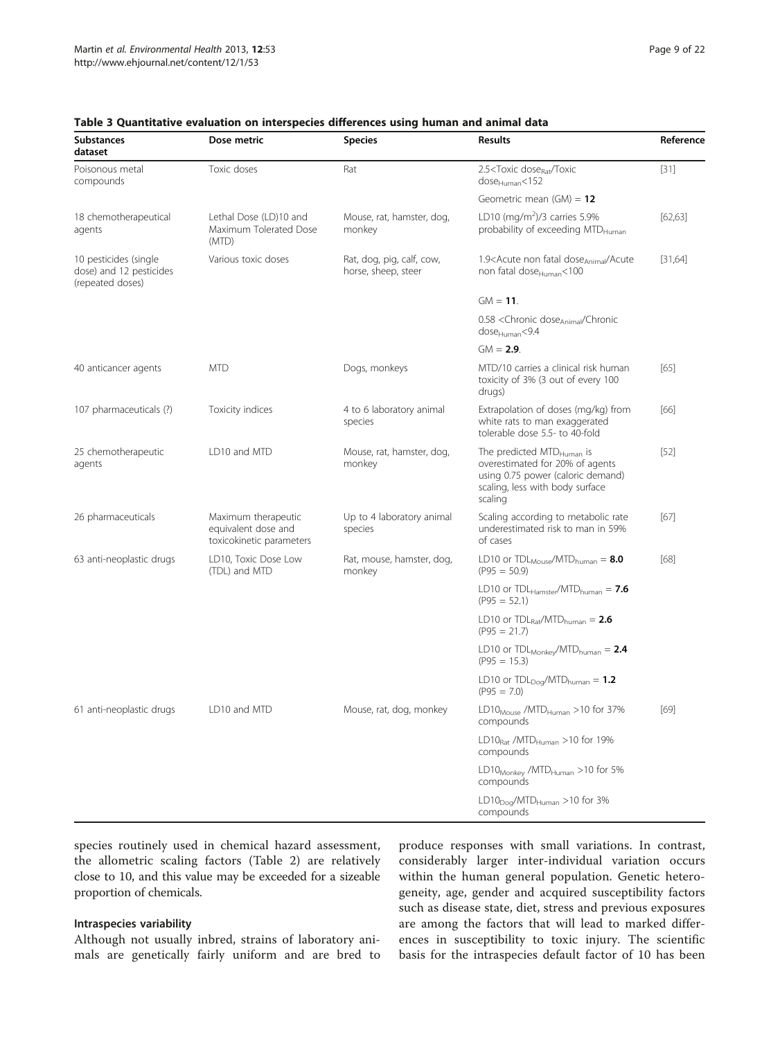| <b>Substances</b><br>dataset                                         | rable 5 Quantitative evaluation on interspectes unierences using numan and annilar data<br>Dose metric | <b>Species</b>                                   | <b>Results</b>                                                                                                                                              | Reference |
|----------------------------------------------------------------------|--------------------------------------------------------------------------------------------------------|--------------------------------------------------|-------------------------------------------------------------------------------------------------------------------------------------------------------------|-----------|
| Poisonous metal<br>compounds                                         | Toxic doses                                                                                            | Rat                                              | 2.5 <toxic dose<sub="">Rat/Toxic<br/>dose<sub>Human</sub>&lt;152</toxic>                                                                                    | $[31]$    |
|                                                                      |                                                                                                        |                                                  | Geometric mean $(GM) = 12$                                                                                                                                  |           |
| 18 chemotherapeutical<br>agents                                      | Lethal Dose (LD)10 and<br>Maximum Tolerated Dose<br>(MTD)                                              | Mouse, rat, hamster, dog,<br>monkey              | LD10 (mg/m <sup>2</sup> )/3 carries 5.9%<br>probability of exceeding MTD <sub>Human</sub>                                                                   | [62, 63]  |
| 10 pesticides (single<br>dose) and 12 pesticides<br>(repeated doses) | Various toxic doses                                                                                    | Rat, dog, pig, calf, cow,<br>horse, sheep, steer | 1.9 <acute dose<sub="" fatal="" non="">Animal/Acute<br/>non fatal dose<sub>Human</sub>&lt;100</acute>                                                       | [31,64]   |
|                                                                      |                                                                                                        |                                                  | $GM = 11$ .                                                                                                                                                 |           |
|                                                                      |                                                                                                        |                                                  | 0.58 <chronic dose<sub="">Animal/Chronic<br/><math>dose_{Human} &lt; 9.4</math></chronic>                                                                   |           |
|                                                                      |                                                                                                        |                                                  | $GM = 2.9$ .                                                                                                                                                |           |
| 40 anticancer agents                                                 | <b>MTD</b>                                                                                             | Dogs, monkeys                                    | MTD/10 carries a clinical risk human<br>toxicity of 3% (3 out of every 100<br>drugs)                                                                        | $[65]$    |
| 107 pharmaceuticals (?)                                              | Toxicity indices                                                                                       | 4 to 6 laboratory animal<br>species              | Extrapolation of doses (mg/kg) from<br>white rats to man exaggerated<br>tolerable dose 5.5- to 40-fold                                                      | [66]      |
| 25 chemotherapeutic<br>agents                                        | LD10 and MTD                                                                                           | Mouse, rat, hamster, dog,<br>monkey              | The predicted MTD <sub>Human</sub> is<br>overestimated for 20% of agents<br>using 0.75 power (caloric demand)<br>scaling, less with body surface<br>scaling | $[52]$    |
| 26 pharmaceuticals                                                   | Maximum therapeutic<br>equivalent dose and<br>toxicokinetic parameters                                 | Up to 4 laboratory animal<br>species             | Scaling according to metabolic rate<br>underestimated risk to man in 59%<br>of cases                                                                        | $[67]$    |
| 63 anti-neoplastic drugs                                             | LD10, Toxic Dose Low<br>(TDL) and MTD                                                                  | Rat, mouse, hamster, dog,<br>monkey              | LD10 or $TDL_{Mouse}/MTD_{human} = 8.0$<br>$($ P95 = 50.9)                                                                                                  | [68]      |
|                                                                      |                                                                                                        |                                                  | LD10 or $TDL_{Hamster}/MTD_{human} = 7.6$<br>$($ P95 = 52.1)                                                                                                |           |
|                                                                      |                                                                                                        |                                                  | LD10 or $TDL_{Rat}/MTD_{human} = 2.6$<br>$(P95 = 21.7)$                                                                                                     |           |
|                                                                      |                                                                                                        |                                                  | LD10 or $TDL_{Monkey}/MTD_{human} = 2.4$<br>$($ P95 = 15.3)                                                                                                 |           |
|                                                                      |                                                                                                        |                                                  | LD10 or $TDL_{Doq}/MTD_{human} = 1.2$<br>$($ P95 = 7.0)                                                                                                     |           |
| 61 anti-neoplastic drugs                                             | LD10 and MTD                                                                                           | Mouse, rat, dog, monkey                          | $LD10_{Mouse}$ /MTD <sub>Human</sub> > 10 for 37%<br>compounds                                                                                              | $[69]$    |
|                                                                      |                                                                                                        |                                                  | $LD10_{Rat}$ /MTD <sub>Human</sub> >10 for 19%<br>compounds                                                                                                 |           |
|                                                                      |                                                                                                        |                                                  | LD10 <sub>Monkey</sub> /MTD <sub>Human</sub> >10 for 5%<br>compounds                                                                                        |           |
|                                                                      |                                                                                                        |                                                  | $LD10_{Dog}$ /MTD <sub>Human</sub> > 10 for 3%<br>compounds                                                                                                 |           |

<span id="page-8-0"></span>

species routinely used in chemical hazard assessment, the allometric scaling factors (Table [2](#page-6-0)) are relatively close to 10, and this value may be exceeded for a sizeable proportion of chemicals.

#### Intraspecies variability

Although not usually inbred, strains of laboratory animals are genetically fairly uniform and are bred to produce responses with small variations. In contrast, considerably larger inter-individual variation occurs within the human general population. Genetic heterogeneity, age, gender and acquired susceptibility factors such as disease state, diet, stress and previous exposures are among the factors that will lead to marked differences in susceptibility to toxic injury. The scientific basis for the intraspecies default factor of 10 has been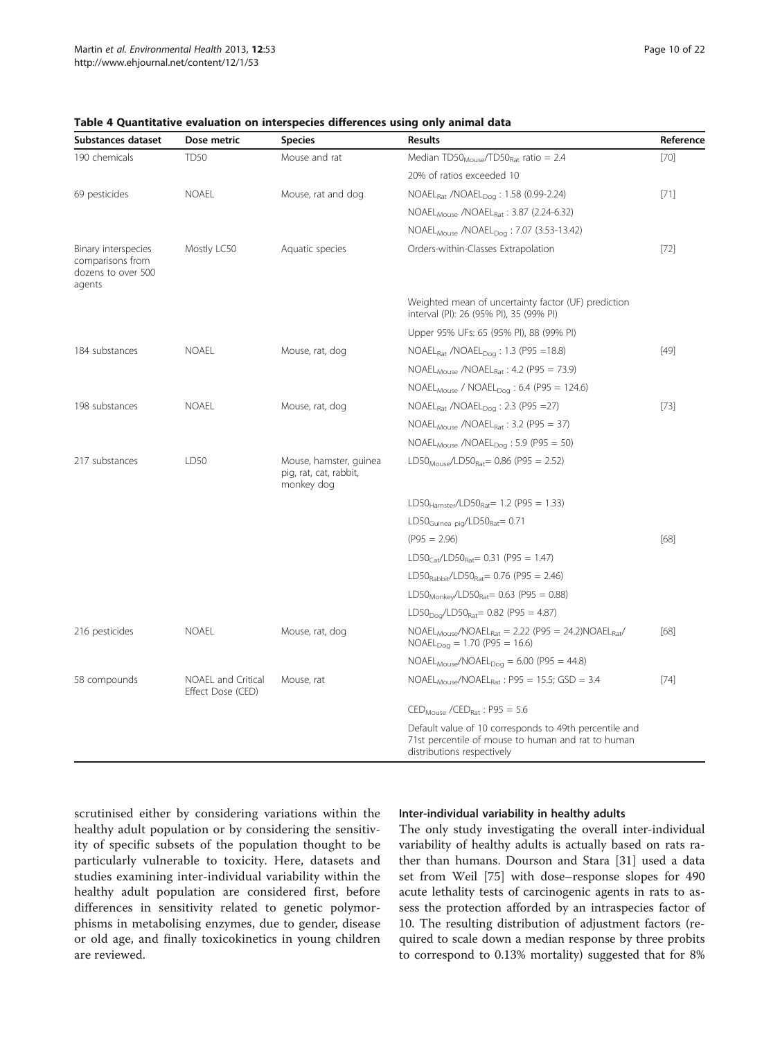| Substances dataset                                                      | Dose metric                             | <b>Species</b>                                                 | <b>Results</b>                                                                                                                             | Reference |
|-------------------------------------------------------------------------|-----------------------------------------|----------------------------------------------------------------|--------------------------------------------------------------------------------------------------------------------------------------------|-----------|
| 190 chemicals                                                           | <b>TD50</b>                             | Mouse and rat                                                  | Median $TD50_{Mouse} / TDS0_{Rat}$ ratio = 2.4                                                                                             | $[70]$    |
|                                                                         |                                         |                                                                | 20% of ratios exceeded 10                                                                                                                  |           |
| 69 pesticides                                                           | <b>NOAEL</b>                            | Mouse, rat and dog                                             | NOAEL <sub>Rat</sub> /NOAEL <sub>Dog</sub> : 1.58 (0.99-2.24)                                                                              | [71]      |
|                                                                         |                                         |                                                                | NOAEL <sub>Mouse</sub> /NOAEL <sub>Rat</sub> : 3.87 (2.24-6.32)                                                                            |           |
|                                                                         |                                         |                                                                | NOAEL <sub>Mouse</sub> /NOAEL <sub>Dog</sub> : 7.07 (3.53-13.42)                                                                           |           |
| Binary interspecies<br>comparisons from<br>dozens to over 500<br>agents | Mostly LC50                             | Aquatic species                                                | Orders-within-Classes Extrapolation                                                                                                        | $[72]$    |
|                                                                         |                                         |                                                                | Weighted mean of uncertainty factor (UF) prediction<br>interval (PI): 26 (95% PI), 35 (99% PI)                                             |           |
|                                                                         |                                         |                                                                | Upper 95% UFs: 65 (95% PI), 88 (99% PI)                                                                                                    |           |
| 184 substances                                                          | <b>NOAEL</b>                            | Mouse, rat, dog                                                | NOAEL <sub>Rat</sub> /NOAEL <sub>Dog</sub> : 1.3 (P95 = 18.8)                                                                              | $[49]$    |
|                                                                         |                                         |                                                                | $NOAEL_{Mouse}$ / $NOAEL_{Rat}$ : 4.2 (P95 = 73.9)                                                                                         |           |
|                                                                         |                                         |                                                                | $NOAEL_{Mouse}$ / $NOAEL_{Doq}$ : 6.4 (P95 = 124.6)                                                                                        |           |
| 198 substances                                                          | <b>NOAEL</b>                            | Mouse, rat, dog                                                | NOAEL <sub>Rat</sub> /NOAEL <sub>Dog</sub> : 2.3 (P95 = 27)                                                                                | $[73]$    |
|                                                                         |                                         |                                                                | $NOAEL_{Mouse} / NOAEL_{Rat}$ : 3.2 (P95 = 37)                                                                                             |           |
|                                                                         |                                         |                                                                | $NOAEL_{Mouse} / NOAEL_{Doq} : 5.9 (P95 = 50)$                                                                                             |           |
| 217 substances                                                          | LD50                                    | Mouse, hamster, guinea<br>pig, rat, cat, rabbit,<br>monkey dog | LD50 <sub>Mouse</sub> /LD50 <sub>Rat</sub> = 0.86 (P95 = 2.52)                                                                             |           |
|                                                                         |                                         |                                                                | LD50 <sub>Hamster</sub> /LD50 <sub>Rat</sub> = 1.2 (P95 = 1.33)                                                                            |           |
|                                                                         |                                         |                                                                | LD50 <sub>Guineapig</sub> /LD50 <sub>Rat</sub> = $0.71$                                                                                    |           |
|                                                                         |                                         |                                                                | $($ P95 = 2.96)                                                                                                                            | [68]      |
|                                                                         |                                         |                                                                | $LD50Cat/LD50Rat= 0.31 (P95 = 1.47)$                                                                                                       |           |
|                                                                         |                                         |                                                                | LD50 <sub>Rabbit</sub> /LD50 <sub>Rat</sub> = 0.76 (P95 = 2.46)                                                                            |           |
|                                                                         |                                         |                                                                | LD50 <sub>Monkey</sub> /LD50 <sub>Rat</sub> = 0.63 (P95 = 0.88)                                                                            |           |
|                                                                         |                                         |                                                                | LD50 <sub>Dog</sub> /LD50 <sub>Rat</sub> = 0.82 (P95 = 4.87)                                                                               |           |
| 216 pesticides                                                          | NOAEL                                   | Mouse, rat, dog                                                | $NOAEL_{Mouse}/NOAEL_{Rat} = 2.22 (P95 = 24.2)NOAEL_{Rat}/$<br>$NOAELDoa = 1.70 (P95 = 16.6)$                                              | [68]      |
|                                                                         |                                         |                                                                | $NOAEL_{Mouse}/NOAEL_{Doq} = 6.00 (P95 = 44.8)$                                                                                            |           |
| 58 compounds                                                            | NOAEL and Critical<br>Effect Dose (CED) | Mouse, rat                                                     | $NOAEL_{Mouse}/NOAEL_{Rat}$ : P95 = 15.5; GSD = 3.4                                                                                        | $[74]$    |
|                                                                         |                                         |                                                                | $\text{CED}_{\text{Mouse}}$ /CED <sub>Rat</sub> : P95 = 5.6                                                                                |           |
|                                                                         |                                         |                                                                | Default value of 10 corresponds to 49th percentile and<br>71st percentile of mouse to human and rat to human<br>distributions respectively |           |

<span id="page-9-0"></span>Table 4 Quantitative evaluation on interspecies differences using only animal data

scrutinised either by considering variations within the healthy adult population or by considering the sensitivity of specific subsets of the population thought to be particularly vulnerable to toxicity. Here, datasets and studies examining inter-individual variability within the healthy adult population are considered first, before differences in sensitivity related to genetic polymorphisms in metabolising enzymes, due to gender, disease or old age, and finally toxicokinetics in young children are reviewed.

#### Inter-individual variability in healthy adults

The only study investigating the overall inter-individual variability of healthy adults is actually based on rats rather than humans. Dourson and Stara [\[31\]](#page-19-0) used a data set from Weil [[75](#page-20-0)] with dose–response slopes for 490 acute lethality tests of carcinogenic agents in rats to assess the protection afforded by an intraspecies factor of 10. The resulting distribution of adjustment factors (required to scale down a median response by three probits to correspond to 0.13% mortality) suggested that for 8%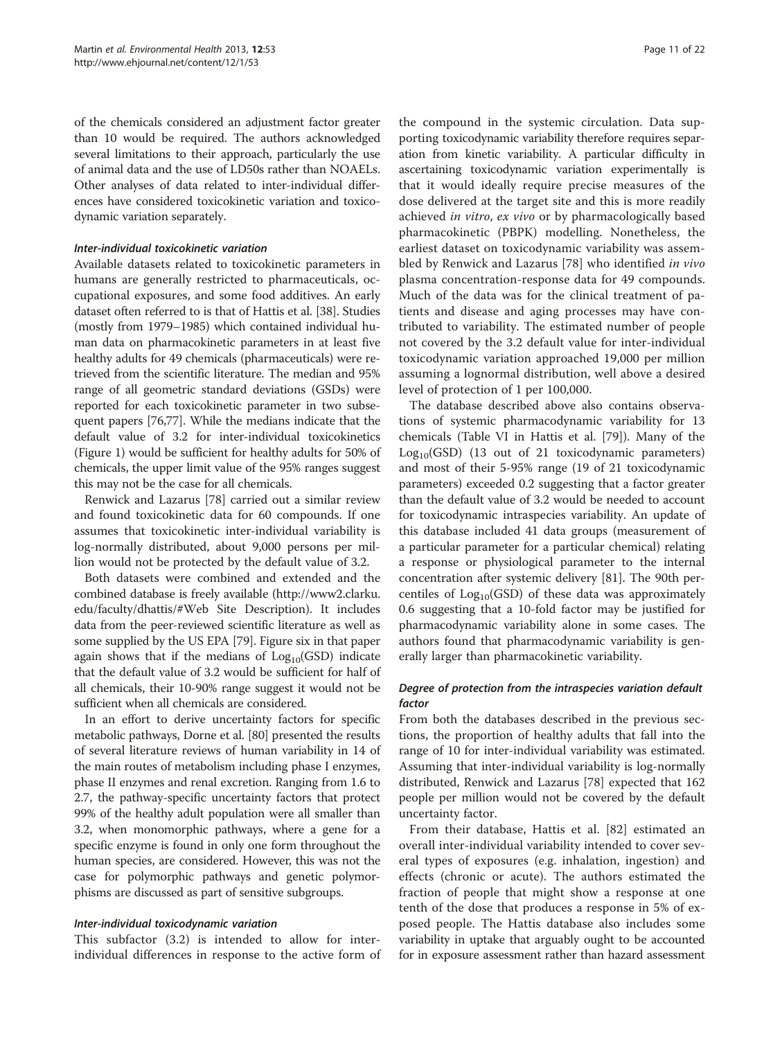of the chemicals considered an adjustment factor greater than 10 would be required. The authors acknowledged several limitations to their approach, particularly the use of animal data and the use of LD50s rather than NOAELs. Other analyses of data related to inter-individual differences have considered toxicokinetic variation and toxicodynamic variation separately.

#### Inter-individual toxicokinetic variation

Available datasets related to toxicokinetic parameters in humans are generally restricted to pharmaceuticals, occupational exposures, and some food additives. An early dataset often referred to is that of Hattis et al. [\[38\]](#page-19-0). Studies (mostly from 1979–1985) which contained individual human data on pharmacokinetic parameters in at least five healthy adults for 49 chemicals (pharmaceuticals) were retrieved from the scientific literature. The median and 95% range of all geometric standard deviations (GSDs) were reported for each toxicokinetic parameter in two subsequent papers [\[76,77\]](#page-20-0). While the medians indicate that the default value of 3.2 for inter-individual toxicokinetics (Figure [1\)](#page-4-0) would be sufficient for healthy adults for 50% of chemicals, the upper limit value of the 95% ranges suggest this may not be the case for all chemicals.

Renwick and Lazarus [[78](#page-20-0)] carried out a similar review and found toxicokinetic data for 60 compounds. If one assumes that toxicokinetic inter-individual variability is log-normally distributed, about 9,000 persons per million would not be protected by the default value of 3.2.

Both datasets were combined and extended and the combined database is freely available [\(http://www2.clarku.](http://www2.clarku.edu/faculty/dhattis/#Web Site Description) [edu/faculty/dhattis/#Web Site Description](http://www2.clarku.edu/faculty/dhattis/#Web Site Description)). It includes data from the peer-reviewed scientific literature as well as some supplied by the US EPA [[79\]](#page-20-0). Figure six in that paper again shows that if the medians of  $Log<sub>10</sub>(GSD)$  indicate that the default value of 3.2 would be sufficient for half of all chemicals, their 10-90% range suggest it would not be sufficient when all chemicals are considered.

In an effort to derive uncertainty factors for specific metabolic pathways, Dorne et al. [\[80\]](#page-20-0) presented the results of several literature reviews of human variability in 14 of the main routes of metabolism including phase I enzymes, phase II enzymes and renal excretion. Ranging from 1.6 to 2.7, the pathway-specific uncertainty factors that protect 99% of the healthy adult population were all smaller than 3.2, when monomorphic pathways, where a gene for a specific enzyme is found in only one form throughout the human species, are considered. However, this was not the case for polymorphic pathways and genetic polymorphisms are discussed as part of sensitive subgroups.

#### Inter-individual toxicodynamic variation

This subfactor (3.2) is intended to allow for interindividual differences in response to the active form of

the compound in the systemic circulation. Data supporting toxicodynamic variability therefore requires separation from kinetic variability. A particular difficulty in ascertaining toxicodynamic variation experimentally is that it would ideally require precise measures of the dose delivered at the target site and this is more readily achieved in vitro, ex vivo or by pharmacologically based pharmacokinetic (PBPK) modelling. Nonetheless, the earliest dataset on toxicodynamic variability was assembled by Renwick and Lazarus [\[78](#page-20-0)] who identified in vivo plasma concentration-response data for 49 compounds. Much of the data was for the clinical treatment of patients and disease and aging processes may have contributed to variability. The estimated number of people not covered by the 3.2 default value for inter-individual toxicodynamic variation approached 19,000 per million assuming a lognormal distribution, well above a desired level of protection of 1 per 100,000.

The database described above also contains observations of systemic pharmacodynamic variability for 13 chemicals (Table VI in Hattis et al. [[79\]](#page-20-0)). Many of the  $Log<sub>10</sub>(GSD)$  (13 out of 21 toxicodynamic parameters) and most of their 5-95% range (19 of 21 toxicodynamic parameters) exceeded 0.2 suggesting that a factor greater than the default value of 3.2 would be needed to account for toxicodynamic intraspecies variability. An update of this database included 41 data groups (measurement of a particular parameter for a particular chemical) relating a response or physiological parameter to the internal concentration after systemic delivery [[81](#page-20-0)]. The 90th percentiles of  $Log<sub>10</sub>(GSD)$  of these data was approximately 0.6 suggesting that a 10-fold factor may be justified for pharmacodynamic variability alone in some cases. The authors found that pharmacodynamic variability is generally larger than pharmacokinetic variability.

# Degree of protection from the intraspecies variation default factor

From both the databases described in the previous sections, the proportion of healthy adults that fall into the range of 10 for inter-individual variability was estimated. Assuming that inter-individual variability is log-normally distributed, Renwick and Lazarus [[78\]](#page-20-0) expected that 162 people per million would not be covered by the default uncertainty factor.

From their database, Hattis et al. [[82](#page-20-0)] estimated an overall inter-individual variability intended to cover several types of exposures (e.g. inhalation, ingestion) and effects (chronic or acute). The authors estimated the fraction of people that might show a response at one tenth of the dose that produces a response in 5% of exposed people. The Hattis database also includes some variability in uptake that arguably ought to be accounted for in exposure assessment rather than hazard assessment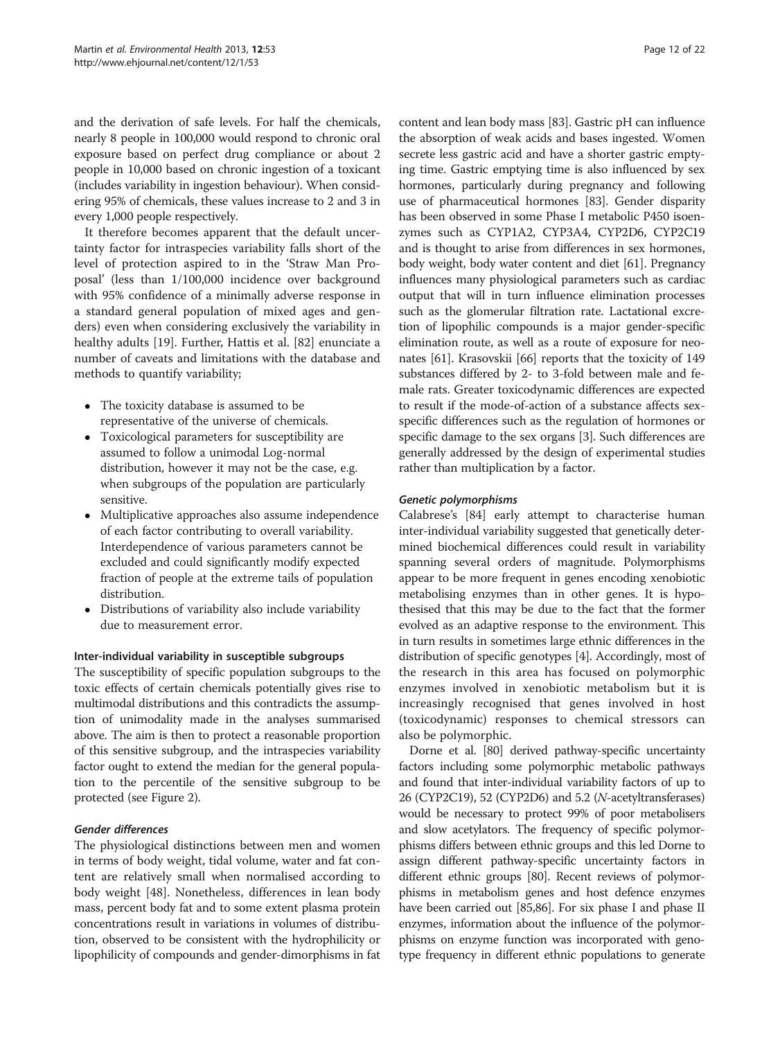and the derivation of safe levels. For half the chemicals, nearly 8 people in 100,000 would respond to chronic oral exposure based on perfect drug compliance or about 2 people in 10,000 based on chronic ingestion of a toxicant (includes variability in ingestion behaviour). When considering 95% of chemicals, these values increase to 2 and 3 in every 1,000 people respectively.

It therefore becomes apparent that the default uncertainty factor for intraspecies variability falls short of the level of protection aspired to in the 'Straw Man Proposal' (less than 1/100,000 incidence over background with 95% confidence of a minimally adverse response in a standard general population of mixed ages and genders) even when considering exclusively the variability in healthy adults [\[19\]](#page-19-0). Further, Hattis et al. [\[82](#page-20-0)] enunciate a number of caveats and limitations with the database and methods to quantify variability;

- The toxicity database is assumed to be representative of the universe of chemicals.
- Toxicological parameters for susceptibility are assumed to follow a unimodal Log-normal distribution, however it may not be the case, e.g. when subgroups of the population are particularly sensitive.
- Multiplicative approaches also assume independence of each factor contributing to overall variability. Interdependence of various parameters cannot be excluded and could significantly modify expected fraction of people at the extreme tails of population distribution.
- Distributions of variability also include variability due to measurement error.

# Inter-individual variability in susceptible subgroups

The susceptibility of specific population subgroups to the toxic effects of certain chemicals potentially gives rise to multimodal distributions and this contradicts the assumption of unimodality made in the analyses summarised above. The aim is then to protect a reasonable proportion of this sensitive subgroup, and the intraspecies variability factor ought to extend the median for the general population to the percentile of the sensitive subgroup to be protected (see Figure [2](#page-12-0)).

#### Gender differences

The physiological distinctions between men and women in terms of body weight, tidal volume, water and fat content are relatively small when normalised according to body weight [[48](#page-19-0)]. Nonetheless, differences in lean body mass, percent body fat and to some extent plasma protein concentrations result in variations in volumes of distribution, observed to be consistent with the hydrophilicity or lipophilicity of compounds and gender-dimorphisms in fat

content and lean body mass [[83](#page-20-0)]. Gastric pH can influence the absorption of weak acids and bases ingested. Women secrete less gastric acid and have a shorter gastric emptying time. Gastric emptying time is also influenced by sex hormones, particularly during pregnancy and following use of pharmaceutical hormones [[83\]](#page-20-0). Gender disparity has been observed in some Phase I metabolic P450 isoenzymes such as CYP1A2, CYP3A4, CYP2D6, CYP2C19 and is thought to arise from differences in sex hormones, body weight, body water content and diet [\[61\]](#page-20-0). Pregnancy influences many physiological parameters such as cardiac output that will in turn influence elimination processes such as the glomerular filtration rate. Lactational excretion of lipophilic compounds is a major gender-specific elimination route, as well as a route of exposure for neonates [[61](#page-20-0)]. Krasovskii [\[66](#page-20-0)] reports that the toxicity of 149 substances differed by 2- to 3-fold between male and female rats. Greater toxicodynamic differences are expected to result if the mode-of-action of a substance affects sexspecific differences such as the regulation of hormones or specific damage to the sex organs [\[3](#page-18-0)]. Such differences are generally addressed by the design of experimental studies rather than multiplication by a factor.

# Genetic polymorphisms

Calabrese's [\[84](#page-20-0)] early attempt to characterise human inter-individual variability suggested that genetically determined biochemical differences could result in variability spanning several orders of magnitude. Polymorphisms appear to be more frequent in genes encoding xenobiotic metabolising enzymes than in other genes. It is hypothesised that this may be due to the fact that the former evolved as an adaptive response to the environment. This in turn results in sometimes large ethnic differences in the distribution of specific genotypes [\[4](#page-18-0)]. Accordingly, most of the research in this area has focused on polymorphic enzymes involved in xenobiotic metabolism but it is increasingly recognised that genes involved in host (toxicodynamic) responses to chemical stressors can also be polymorphic.

Dorne et al. [[80](#page-20-0)] derived pathway-specific uncertainty factors including some polymorphic metabolic pathways and found that inter-individual variability factors of up to 26 (CYP2C19), 52 (CYP2D6) and 5.2 (N-acetyltransferases) would be necessary to protect 99% of poor metabolisers and slow acetylators. The frequency of specific polymorphisms differs between ethnic groups and this led Dorne to assign different pathway-specific uncertainty factors in different ethnic groups [[80](#page-20-0)]. Recent reviews of polymorphisms in metabolism genes and host defence enzymes have been carried out [\[85,86](#page-20-0)]. For six phase I and phase II enzymes, information about the influence of the polymorphisms on enzyme function was incorporated with genotype frequency in different ethnic populations to generate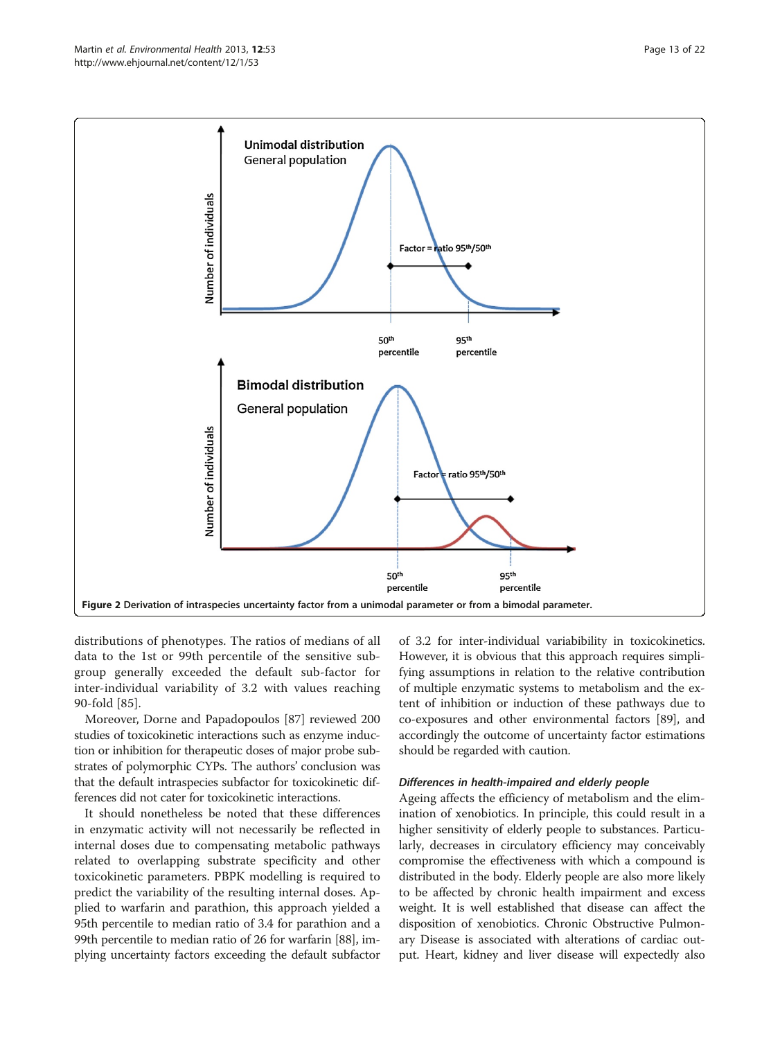<span id="page-12-0"></span>

distributions of phenotypes. The ratios of medians of all data to the 1st or 99th percentile of the sensitive subgroup generally exceeded the default sub-factor for inter-individual variability of 3.2 with values reaching 90-fold [\[85](#page-20-0)].

Moreover, Dorne and Papadopoulos [\[87\]](#page-20-0) reviewed 200 studies of toxicokinetic interactions such as enzyme induction or inhibition for therapeutic doses of major probe substrates of polymorphic CYPs. The authors' conclusion was that the default intraspecies subfactor for toxicokinetic differences did not cater for toxicokinetic interactions.

It should nonetheless be noted that these differences in enzymatic activity will not necessarily be reflected in internal doses due to compensating metabolic pathways related to overlapping substrate specificity and other toxicokinetic parameters. PBPK modelling is required to predict the variability of the resulting internal doses. Applied to warfarin and parathion, this approach yielded a 95th percentile to median ratio of 3.4 for parathion and a 99th percentile to median ratio of 26 for warfarin [\[88\]](#page-20-0), implying uncertainty factors exceeding the default subfactor

of 3.2 for inter-individual variabibility in toxicokinetics. However, it is obvious that this approach requires simplifying assumptions in relation to the relative contribution of multiple enzymatic systems to metabolism and the extent of inhibition or induction of these pathways due to co-exposures and other environmental factors [\[89\]](#page-20-0), and accordingly the outcome of uncertainty factor estimations should be regarded with caution.

# Differences in health-impaired and elderly people

Ageing affects the efficiency of metabolism and the elimination of xenobiotics. In principle, this could result in a higher sensitivity of elderly people to substances. Particularly, decreases in circulatory efficiency may conceivably compromise the effectiveness with which a compound is distributed in the body. Elderly people are also more likely to be affected by chronic health impairment and excess weight. It is well established that disease can affect the disposition of xenobiotics. Chronic Obstructive Pulmonary Disease is associated with alterations of cardiac output. Heart, kidney and liver disease will expectedly also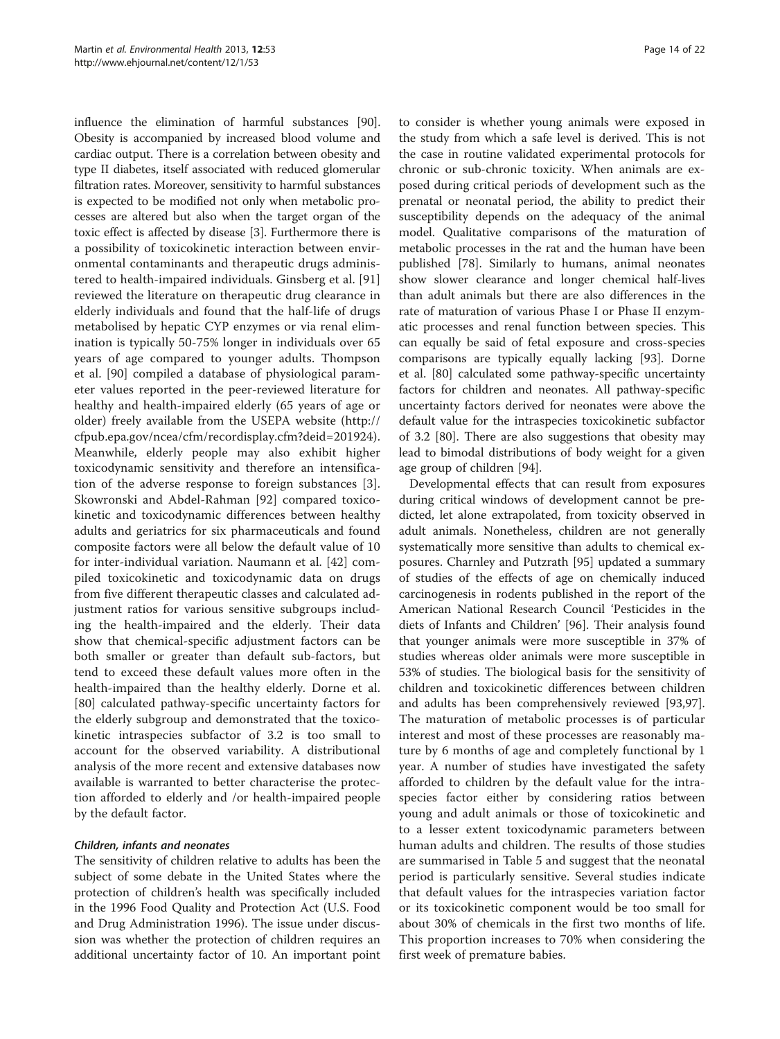influence the elimination of harmful substances [[90](#page-20-0)]. Obesity is accompanied by increased blood volume and cardiac output. There is a correlation between obesity and type II diabetes, itself associated with reduced glomerular filtration rates. Moreover, sensitivity to harmful substances is expected to be modified not only when metabolic processes are altered but also when the target organ of the toxic effect is affected by disease [[3\]](#page-18-0). Furthermore there is a possibility of toxicokinetic interaction between environmental contaminants and therapeutic drugs administered to health-impaired individuals. Ginsberg et al. [\[91](#page-20-0)] reviewed the literature on therapeutic drug clearance in elderly individuals and found that the half-life of drugs metabolised by hepatic CYP enzymes or via renal elimination is typically 50-75% longer in individuals over 65 years of age compared to younger adults. Thompson et al. [[90\]](#page-20-0) compiled a database of physiological parameter values reported in the peer-reviewed literature for healthy and health-impaired elderly (65 years of age or older) freely available from the USEPA website ([http://](http://cfpub.epa.gov/ncea/cfm/recordisplay.cfm?deid=201924) [cfpub.epa.gov/ncea/cfm/recordisplay.cfm?deid=201924](http://cfpub.epa.gov/ncea/cfm/recordisplay.cfm?deid=201924)). Meanwhile, elderly people may also exhibit higher toxicodynamic sensitivity and therefore an intensification of the adverse response to foreign substances [[3](#page-18-0)]. Skowronski and Abdel-Rahman [[92\]](#page-20-0) compared toxicokinetic and toxicodynamic differences between healthy adults and geriatrics for six pharmaceuticals and found composite factors were all below the default value of 10 for inter-individual variation. Naumann et al. [[42\]](#page-19-0) compiled toxicokinetic and toxicodynamic data on drugs from five different therapeutic classes and calculated adjustment ratios for various sensitive subgroups including the health-impaired and the elderly. Their data show that chemical-specific adjustment factors can be both smaller or greater than default sub-factors, but tend to exceed these default values more often in the health-impaired than the healthy elderly. Dorne et al. [[80\]](#page-20-0) calculated pathway-specific uncertainty factors for the elderly subgroup and demonstrated that the toxicokinetic intraspecies subfactor of 3.2 is too small to account for the observed variability. A distributional analysis of the more recent and extensive databases now available is warranted to better characterise the protection afforded to elderly and /or health-impaired people by the default factor.

# Children, infants and neonates

The sensitivity of children relative to adults has been the subject of some debate in the United States where the protection of children's health was specifically included in the 1996 Food Quality and Protection Act (U.S. Food and Drug Administration 1996). The issue under discussion was whether the protection of children requires an additional uncertainty factor of 10. An important point

to consider is whether young animals were exposed in the study from which a safe level is derived. This is not the case in routine validated experimental protocols for chronic or sub-chronic toxicity. When animals are exposed during critical periods of development such as the prenatal or neonatal period, the ability to predict their susceptibility depends on the adequacy of the animal model. Qualitative comparisons of the maturation of metabolic processes in the rat and the human have been published [[78\]](#page-20-0). Similarly to humans, animal neonates show slower clearance and longer chemical half-lives than adult animals but there are also differences in the rate of maturation of various Phase I or Phase II enzymatic processes and renal function between species. This can equally be said of fetal exposure and cross-species comparisons are typically equally lacking [[93\]](#page-20-0). Dorne et al. [[80\]](#page-20-0) calculated some pathway-specific uncertainty factors for children and neonates. All pathway-specific uncertainty factors derived for neonates were above the default value for the intraspecies toxicokinetic subfactor of 3.2 [[80](#page-20-0)]. There are also suggestions that obesity may lead to bimodal distributions of body weight for a given age group of children [[94\]](#page-20-0).

Developmental effects that can result from exposures during critical windows of development cannot be predicted, let alone extrapolated, from toxicity observed in adult animals. Nonetheless, children are not generally systematically more sensitive than adults to chemical exposures. Charnley and Putzrath [[95\]](#page-20-0) updated a summary of studies of the effects of age on chemically induced carcinogenesis in rodents published in the report of the American National Research Council 'Pesticides in the diets of Infants and Children' [[96\]](#page-20-0). Their analysis found that younger animals were more susceptible in 37% of studies whereas older animals were more susceptible in 53% of studies. The biological basis for the sensitivity of children and toxicokinetic differences between children and adults has been comprehensively reviewed [\[93,97](#page-20-0)]. The maturation of metabolic processes is of particular interest and most of these processes are reasonably mature by 6 months of age and completely functional by 1 year. A number of studies have investigated the safety afforded to children by the default value for the intraspecies factor either by considering ratios between young and adult animals or those of toxicokinetic and to a lesser extent toxicodynamic parameters between human adults and children. The results of those studies are summarised in Table [5](#page-14-0) and suggest that the neonatal period is particularly sensitive. Several studies indicate that default values for the intraspecies variation factor or its toxicokinetic component would be too small for about 30% of chemicals in the first two months of life. This proportion increases to 70% when considering the first week of premature babies.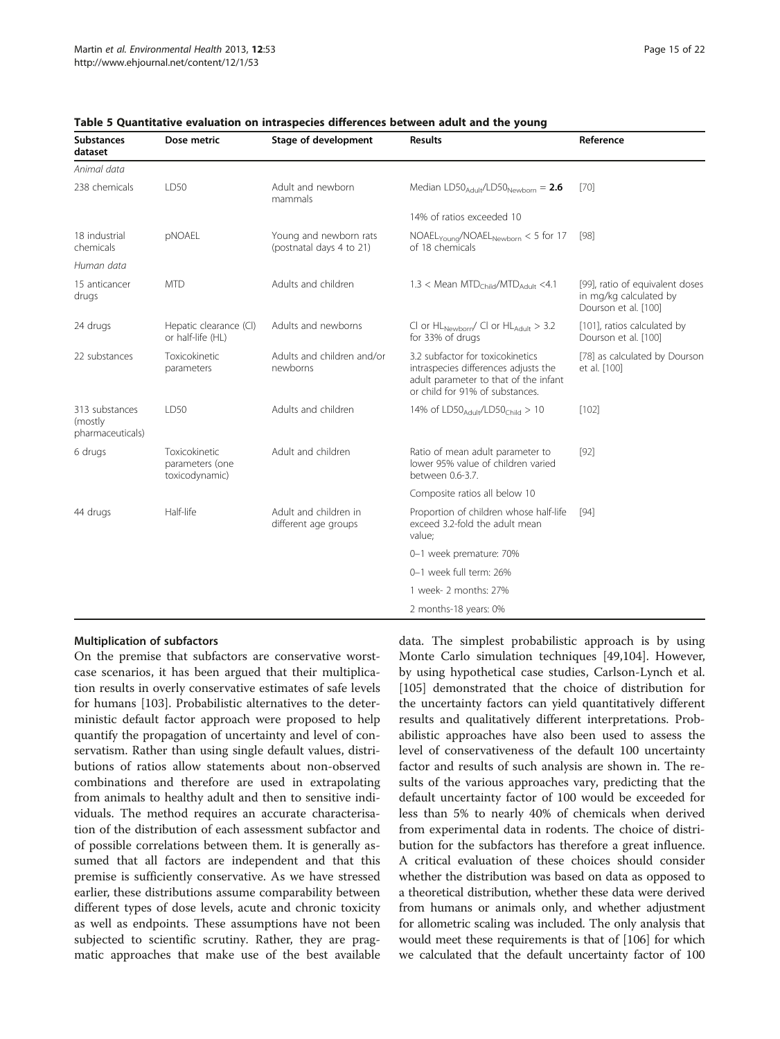| <b>Substances</b><br>dataset                   | Dose metric                                        | Stage of development                               | <b>Results</b>                                                                                                                                       | Reference                                                                         |
|------------------------------------------------|----------------------------------------------------|----------------------------------------------------|------------------------------------------------------------------------------------------------------------------------------------------------------|-----------------------------------------------------------------------------------|
| Animal data                                    |                                                    |                                                    |                                                                                                                                                      |                                                                                   |
| 238 chemicals                                  | LD50                                               | Adult and newborn<br>mammals                       | Median LD50 $_{\text{Adul}}$ /LD50 $_{\text{Newton}}$ = 2.6                                                                                          | $[70]$                                                                            |
|                                                |                                                    |                                                    | 14% of ratios exceeded 10                                                                                                                            |                                                                                   |
| 18 industrial<br>chemicals                     | <b>pNOAEL</b>                                      | Young and newborn rats<br>(postnatal days 4 to 21) | NOAEL <sub>Young</sub> /NOAEL <sub>Newborn</sub> < 5 for 17<br>of 18 chemicals                                                                       | $[98]$                                                                            |
| Human data                                     |                                                    |                                                    |                                                                                                                                                      |                                                                                   |
| 15 anticancer<br>drugs                         | <b>MTD</b>                                         | Adults and children                                | $1.3 <$ Mean MTD <sub>Child</sub> /MTD <sub>Adult</sub> <4.1                                                                                         | [99], ratio of equivalent doses<br>in mg/kg calculated by<br>Dourson et al. [100] |
| 24 drugs                                       | Hepatic clearance (Cl)<br>or half-life (HL)        | Adults and newborns                                | CI or HLNewborn/ CI or HLAdult > 3.2<br>for 33% of drugs                                                                                             | [101], ratios calculated by<br>Dourson et al. [100]                               |
| 22 substances                                  | Toxicokinetic<br>parameters                        | Adults and children and/or<br>newborns             | 3.2 subfactor for toxicokinetics<br>intraspecies differences adjusts the<br>adult parameter to that of the infant<br>or child for 91% of substances. | [78] as calculated by Dourson<br>et al. [100]                                     |
| 313 substances<br>(mostly)<br>pharmaceuticals) | <b>LD50</b>                                        | Adults and children                                | 14% of LD50 $_{\text{Addil}}$ /LD50 $_{\text{Child}}$ > 10                                                                                           | [102]                                                                             |
| 6 drugs                                        | Toxicokinetic<br>parameters (one<br>toxicodynamic) | Adult and children                                 | Ratio of mean adult parameter to<br>lower 95% value of children varied<br>between 0.6-3.7.                                                           | $[92]$                                                                            |
|                                                |                                                    |                                                    | Composite ratios all below 10                                                                                                                        |                                                                                   |
| 44 drugs                                       | Half-life                                          | Adult and children in<br>different age groups      | Proportion of children whose half-life<br>exceed 3.2-fold the adult mean<br>value;                                                                   | $[94]$                                                                            |
|                                                |                                                    |                                                    | 0-1 week premature: 70%                                                                                                                              |                                                                                   |
|                                                |                                                    |                                                    | 0-1 week full term: 26%                                                                                                                              |                                                                                   |
|                                                |                                                    |                                                    | 1 week- 2 months: 27%                                                                                                                                |                                                                                   |
|                                                |                                                    |                                                    | 2 months-18 years: 0%                                                                                                                                |                                                                                   |

<span id="page-14-0"></span>Table 5 Quantitative evaluation on intraspecies differences between adult and the young

# Multiplication of subfactors

On the premise that subfactors are conservative worstcase scenarios, it has been argued that their multiplication results in overly conservative estimates of safe levels for humans [[103\]](#page-21-0). Probabilistic alternatives to the deterministic default factor approach were proposed to help quantify the propagation of uncertainty and level of conservatism. Rather than using single default values, distributions of ratios allow statements about non-observed combinations and therefore are used in extrapolating from animals to healthy adult and then to sensitive individuals. The method requires an accurate characterisation of the distribution of each assessment subfactor and of possible correlations between them. It is generally assumed that all factors are independent and that this premise is sufficiently conservative. As we have stressed earlier, these distributions assume comparability between different types of dose levels, acute and chronic toxicity as well as endpoints. These assumptions have not been subjected to scientific scrutiny. Rather, they are pragmatic approaches that make use of the best available data. The simplest probabilistic approach is by using Monte Carlo simulation techniques [[49,](#page-19-0)[104](#page-21-0)]. However, by using hypothetical case studies, Carlson-Lynch et al. [[105\]](#page-21-0) demonstrated that the choice of distribution for the uncertainty factors can yield quantitatively different results and qualitatively different interpretations. Probabilistic approaches have also been used to assess the level of conservativeness of the default 100 uncertainty factor and results of such analysis are shown in. The results of the various approaches vary, predicting that the default uncertainty factor of 100 would be exceeded for less than 5% to nearly 40% of chemicals when derived from experimental data in rodents. The choice of distribution for the subfactors has therefore a great influence. A critical evaluation of these choices should consider whether the distribution was based on data as opposed to a theoretical distribution, whether these data were derived from humans or animals only, and whether adjustment for allometric scaling was included. The only analysis that would meet these requirements is that of [[106](#page-21-0)] for which we calculated that the default uncertainty factor of 100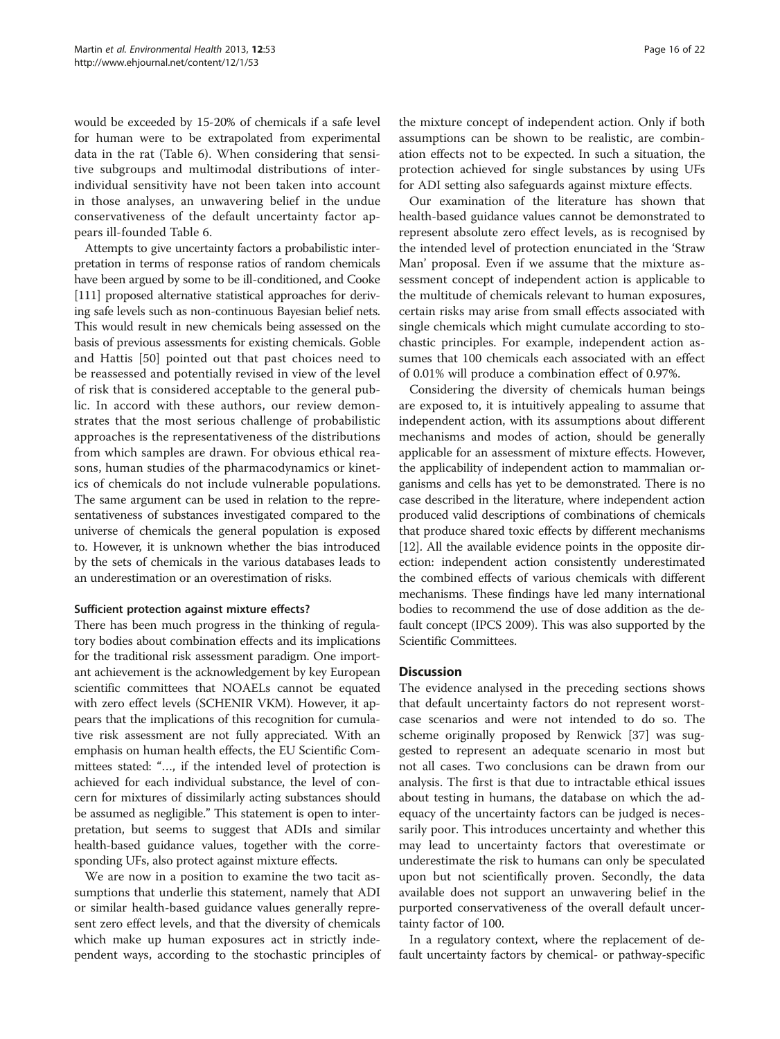would be exceeded by 15-20% of chemicals if a safe level for human were to be extrapolated from experimental data in the rat (Table [6](#page-16-0)). When considering that sensitive subgroups and multimodal distributions of interindividual sensitivity have not been taken into account in those analyses, an unwavering belief in the undue conservativeness of the default uncertainty factor appears ill-founded Table [6.](#page-16-0)

Attempts to give uncertainty factors a probabilistic interpretation in terms of response ratios of random chemicals have been argued by some to be ill-conditioned, and Cooke [[111\]](#page-21-0) proposed alternative statistical approaches for deriving safe levels such as non-continuous Bayesian belief nets. This would result in new chemicals being assessed on the basis of previous assessments for existing chemicals. Goble and Hattis [\[50](#page-19-0)] pointed out that past choices need to be reassessed and potentially revised in view of the level of risk that is considered acceptable to the general public. In accord with these authors, our review demonstrates that the most serious challenge of probabilistic approaches is the representativeness of the distributions from which samples are drawn. For obvious ethical reasons, human studies of the pharmacodynamics or kinetics of chemicals do not include vulnerable populations. The same argument can be used in relation to the representativeness of substances investigated compared to the universe of chemicals the general population is exposed to. However, it is unknown whether the bias introduced by the sets of chemicals in the various databases leads to an underestimation or an overestimation of risks.

#### Sufficient protection against mixture effects?

There has been much progress in the thinking of regulatory bodies about combination effects and its implications for the traditional risk assessment paradigm. One important achievement is the acknowledgement by key European scientific committees that NOAELs cannot be equated with zero effect levels (SCHENIR VKM). However, it appears that the implications of this recognition for cumulative risk assessment are not fully appreciated. With an emphasis on human health effects, the EU Scientific Committees stated: "…, if the intended level of protection is achieved for each individual substance, the level of concern for mixtures of dissimilarly acting substances should be assumed as negligible." This statement is open to interpretation, but seems to suggest that ADIs and similar health-based guidance values, together with the corresponding UFs, also protect against mixture effects.

We are now in a position to examine the two tacit assumptions that underlie this statement, namely that ADI or similar health-based guidance values generally represent zero effect levels, and that the diversity of chemicals which make up human exposures act in strictly independent ways, according to the stochastic principles of

the mixture concept of independent action. Only if both assumptions can be shown to be realistic, are combination effects not to be expected. In such a situation, the protection achieved for single substances by using UFs for ADI setting also safeguards against mixture effects.

Our examination of the literature has shown that health-based guidance values cannot be demonstrated to represent absolute zero effect levels, as is recognised by the intended level of protection enunciated in the 'Straw Man' proposal. Even if we assume that the mixture assessment concept of independent action is applicable to the multitude of chemicals relevant to human exposures, certain risks may arise from small effects associated with single chemicals which might cumulate according to stochastic principles. For example, independent action assumes that 100 chemicals each associated with an effect of 0.01% will produce a combination effect of 0.97%.

Considering the diversity of chemicals human beings are exposed to, it is intuitively appealing to assume that independent action, with its assumptions about different mechanisms and modes of action, should be generally applicable for an assessment of mixture effects. However, the applicability of independent action to mammalian organisms and cells has yet to be demonstrated. There is no case described in the literature, where independent action produced valid descriptions of combinations of chemicals that produce shared toxic effects by different mechanisms [[12](#page-19-0)]. All the available evidence points in the opposite direction: independent action consistently underestimated the combined effects of various chemicals with different mechanisms. These findings have led many international bodies to recommend the use of dose addition as the default concept (IPCS 2009). This was also supported by the Scientific Committees.

# **Discussion**

The evidence analysed in the preceding sections shows that default uncertainty factors do not represent worstcase scenarios and were not intended to do so. The scheme originally proposed by Renwick [\[37\]](#page-19-0) was suggested to represent an adequate scenario in most but not all cases. Two conclusions can be drawn from our analysis. The first is that due to intractable ethical issues about testing in humans, the database on which the adequacy of the uncertainty factors can be judged is necessarily poor. This introduces uncertainty and whether this may lead to uncertainty factors that overestimate or underestimate the risk to humans can only be speculated upon but not scientifically proven. Secondly, the data available does not support an unwavering belief in the purported conservativeness of the overall default uncertainty factor of 100.

In a regulatory context, where the replacement of default uncertainty factors by chemical- or pathway-specific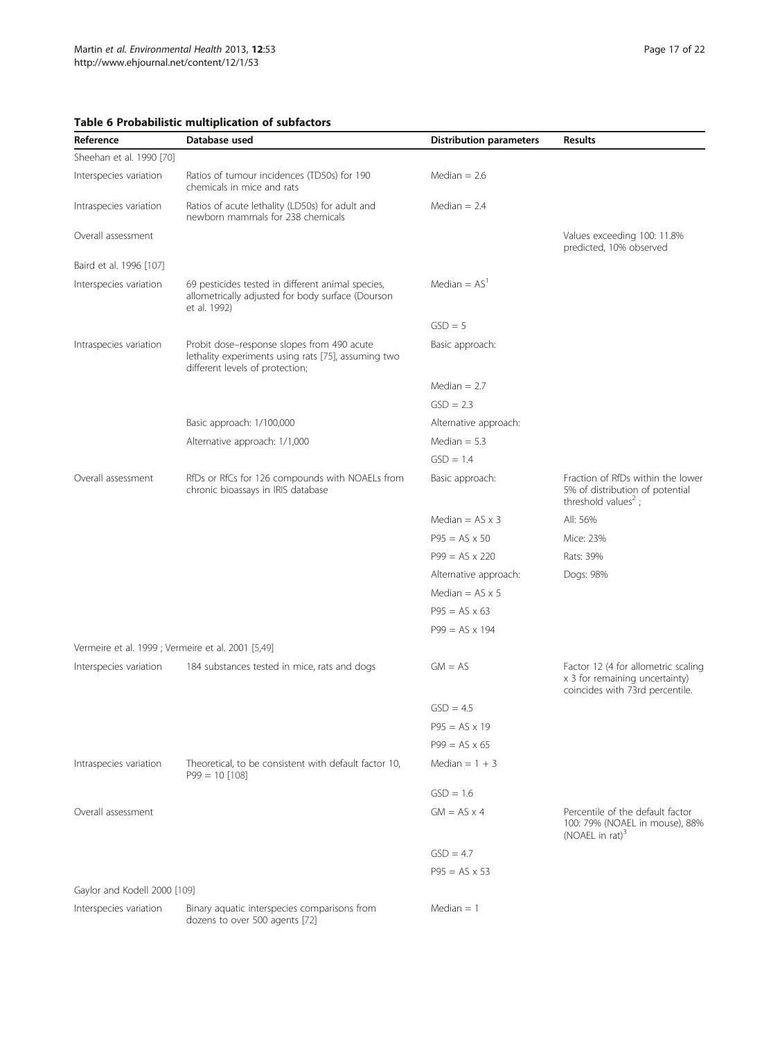# <span id="page-16-0"></span>Table 6 Probabilistic multiplication of subfactors

| Reference                                          | Database used                                                                                                                        | <b>Distribution parameters</b> | <b>Results</b>                                                                                           |
|----------------------------------------------------|--------------------------------------------------------------------------------------------------------------------------------------|--------------------------------|----------------------------------------------------------------------------------------------------------|
| Sheehan et al. 1990 [70]                           |                                                                                                                                      |                                |                                                                                                          |
| Interspecies variation                             | Ratios of tumour incidences (TD50s) for 190<br>chemicals in mice and rats                                                            | Median $= 2.6$                 |                                                                                                          |
| Intraspecies variation                             | Ratios of acute lethality (LD50s) for adult and<br>newborn mammals for 238 chemicals                                                 | Median $= 2.4$                 |                                                                                                          |
| Overall assessment                                 |                                                                                                                                      |                                | Values exceeding 100: 11.8%<br>predicted, 10% observed                                                   |
| Baird et al. 1996 [107]                            |                                                                                                                                      |                                |                                                                                                          |
| Interspecies variation                             | 69 pesticides tested in different animal species,<br>allometrically adjusted for body surface (Dourson<br>et al. 1992)               | Median = $AS1$                 |                                                                                                          |
|                                                    |                                                                                                                                      | $GSD = 5$                      |                                                                                                          |
| Intraspecies variation                             | Probit dose-response slopes from 490 acute<br>lethality experiments using rats [75], assuming two<br>different levels of protection; | Basic approach:                |                                                                                                          |
|                                                    |                                                                                                                                      | Median $= 2.7$                 |                                                                                                          |
|                                                    |                                                                                                                                      | $GSD = 2.3$                    |                                                                                                          |
|                                                    | Basic approach: 1/100,000                                                                                                            | Alternative approach:          |                                                                                                          |
|                                                    | Alternative approach: 1/1,000                                                                                                        | Median $= 5.3$                 |                                                                                                          |
|                                                    |                                                                                                                                      | $GSD = 1.4$                    |                                                                                                          |
| Overall assessment                                 | RfDs or RfCs for 126 compounds with NOAELs from<br>chronic bioassays in IRIS database                                                | Basic approach:                | Fraction of RfDs within the lower<br>5% of distribution of potential<br>threshold values <sup>2</sup> ;  |
|                                                    |                                                                                                                                      | Median = $AS \times 3$         | All: 56%                                                                                                 |
|                                                    |                                                                                                                                      | $P95 = AS \times 50$           | Mice: 23%                                                                                                |
|                                                    |                                                                                                                                      | $P99 = AS \times 220$          | Rats: 39%                                                                                                |
|                                                    |                                                                                                                                      | Alternative approach:          | Dogs: 98%                                                                                                |
|                                                    |                                                                                                                                      | Median = $AS \times 5$         |                                                                                                          |
|                                                    |                                                                                                                                      | $P95 = AS \times 63$           |                                                                                                          |
|                                                    |                                                                                                                                      | $P99 = AS \times 194$          |                                                                                                          |
| Vermeire et al. 1999 ; Vermeire et al. 2001 [5,49] |                                                                                                                                      |                                |                                                                                                          |
| Interspecies variation                             | 184 substances tested in mice, rats and dogs                                                                                         | $GM = AS$                      | Factor 12 (4 for allometric scaling<br>x 3 for remaining uncertainty)<br>coincides with 73rd percentile. |
|                                                    |                                                                                                                                      | $GSD = 4.5$                    |                                                                                                          |
|                                                    |                                                                                                                                      | $P95 = AS \times 19$           |                                                                                                          |
|                                                    |                                                                                                                                      | $P99 = AS \times 65$           |                                                                                                          |
| Intraspecies variation                             | Theoretical, to be consistent with default factor 10,<br>$P99 = 10$ [108]                                                            | Median = $1 + 3$               |                                                                                                          |
|                                                    |                                                                                                                                      | $GSD = 1.6$                    |                                                                                                          |
| Overall assessment                                 |                                                                                                                                      | $GM = AS \times 4$             | Percentile of the default factor<br>100: 79% (NOAEL in mouse), 88%<br>(NOAEL in rat) $3$                 |
|                                                    |                                                                                                                                      | $GSD = 4.7$                    |                                                                                                          |
|                                                    |                                                                                                                                      | $P95 = AS \times 53$           |                                                                                                          |
| Gaylor and Kodell 2000 [109]                       |                                                                                                                                      |                                |                                                                                                          |
| Interspecies variation                             | Binary aquatic interspecies comparisons from<br>dozens to over 500 agents [72]                                                       | $Median = 1$                   |                                                                                                          |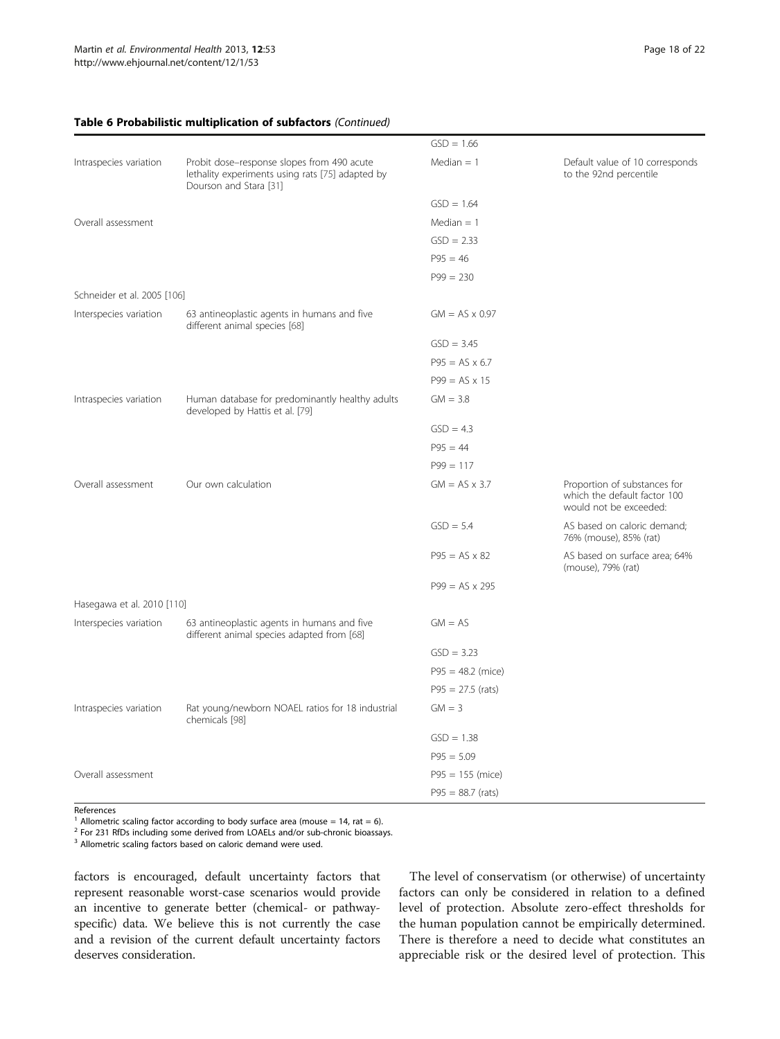|                             |                                                                                                                          | $GSD = 1.66$          |                                                                                        |
|-----------------------------|--------------------------------------------------------------------------------------------------------------------------|-----------------------|----------------------------------------------------------------------------------------|
| Intraspecies variation      | Probit dose-response slopes from 490 acute<br>lethality experiments using rats [75] adapted by<br>Dourson and Stara [31] | $Median = 1$          | Default value of 10 corresponds<br>to the 92nd percentile                              |
|                             |                                                                                                                          | $GSD = 1.64$          |                                                                                        |
| Overall assessment          |                                                                                                                          | $Median = 1$          |                                                                                        |
|                             |                                                                                                                          | $GSD = 2.33$          |                                                                                        |
|                             |                                                                                                                          | $P95 = 46$            |                                                                                        |
|                             |                                                                                                                          | $P99 = 230$           |                                                                                        |
| Schneider et al. 2005 [106] |                                                                                                                          |                       |                                                                                        |
| Interspecies variation      | 63 antineoplastic agents in humans and five<br>different animal species [68]                                             | $GM = AS \times 0.97$ |                                                                                        |
|                             |                                                                                                                          | $GSD = 3.45$          |                                                                                        |
|                             |                                                                                                                          | $P95 = AS \times 6.7$ |                                                                                        |
|                             |                                                                                                                          | $P99 = AS \times 15$  |                                                                                        |
| Intraspecies variation      | Human database for predominantly healthy adults<br>developed by Hattis et al. [79]                                       | $GM = 3.8$            |                                                                                        |
|                             |                                                                                                                          | $GSD = 4.3$           |                                                                                        |
|                             |                                                                                                                          | $P95 = 44$            |                                                                                        |
|                             |                                                                                                                          | $P99 = 117$           |                                                                                        |
| Overall assessment          | Our own calculation                                                                                                      | $GM = AS \times 3.7$  | Proportion of substances for<br>which the default factor 100<br>would not be exceeded: |
|                             |                                                                                                                          | $GSD = 5.4$           | AS based on caloric demand;<br>76% (mouse), 85% (rat)                                  |
|                             |                                                                                                                          | $P95 = AS \times 82$  | AS based on surface area; 64%<br>(mouse), 79% (rat)                                    |
|                             |                                                                                                                          | $P99 = AS \times 295$ |                                                                                        |
| Hasegawa et al. 2010 [110]  |                                                                                                                          |                       |                                                                                        |
| Interspecies variation      | 63 antineoplastic agents in humans and five<br>different animal species adapted from [68]                                | $GM = AS$             |                                                                                        |
|                             |                                                                                                                          | $GSD = 3.23$          |                                                                                        |
|                             |                                                                                                                          | $P95 = 48.2$ (mice)   |                                                                                        |
|                             |                                                                                                                          | $P95 = 27.5$ (rats)   |                                                                                        |
| Intraspecies variation      | Rat young/newborn NOAEL ratios for 18 industrial<br>chemicals [98]                                                       | $GM = 3$              |                                                                                        |
|                             |                                                                                                                          | $GSD = 1.38$          |                                                                                        |
|                             |                                                                                                                          | $P95 = 5.09$          |                                                                                        |
| Overall assessment          |                                                                                                                          | $P95 = 155$ (mice)    |                                                                                        |
|                             |                                                                                                                          | $P95 = 88.7$ (rats)   |                                                                                        |

#### Table 6 Probabilistic multiplication of subfactors (Continued)

References

<sup>1</sup> Allometric scaling factor according to body surface area (mouse = 14, rat = 6).

<sup>2</sup> For 231 RfDs including some derived from LOAELs and/or sub-chronic bioassays.

<sup>3</sup> Allometric scaling factors based on caloric demand were used.

factors is encouraged, default uncertainty factors that represent reasonable worst-case scenarios would provide an incentive to generate better (chemical- or pathwayspecific) data. We believe this is not currently the case and a revision of the current default uncertainty factors deserves consideration.

The level of conservatism (or otherwise) of uncertainty factors can only be considered in relation to a defined level of protection. Absolute zero-effect thresholds for the human population cannot be empirically determined. There is therefore a need to decide what constitutes an appreciable risk or the desired level of protection. This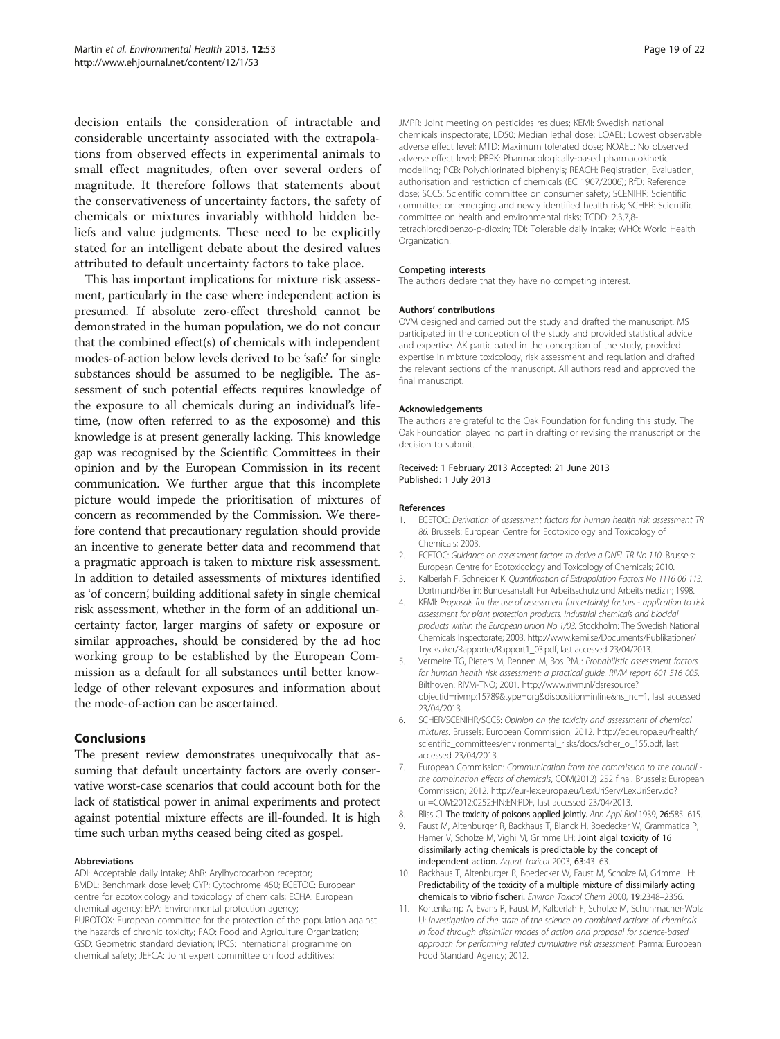<span id="page-18-0"></span>decision entails the consideration of intractable and considerable uncertainty associated with the extrapolations from observed effects in experimental animals to small effect magnitudes, often over several orders of magnitude. It therefore follows that statements about the conservativeness of uncertainty factors, the safety of chemicals or mixtures invariably withhold hidden beliefs and value judgments. These need to be explicitly stated for an intelligent debate about the desired values attributed to default uncertainty factors to take place.

This has important implications for mixture risk assessment, particularly in the case where independent action is presumed. If absolute zero-effect threshold cannot be demonstrated in the human population, we do not concur that the combined effect(s) of chemicals with independent modes-of-action below levels derived to be 'safe' for single substances should be assumed to be negligible. The assessment of such potential effects requires knowledge of the exposure to all chemicals during an individual's lifetime, (now often referred to as the exposome) and this knowledge is at present generally lacking. This knowledge gap was recognised by the Scientific Committees in their opinion and by the European Commission in its recent communication. We further argue that this incomplete picture would impede the prioritisation of mixtures of concern as recommended by the Commission. We therefore contend that precautionary regulation should provide an incentive to generate better data and recommend that a pragmatic approach is taken to mixture risk assessment. In addition to detailed assessments of mixtures identified as 'of concern', building additional safety in single chemical risk assessment, whether in the form of an additional uncertainty factor, larger margins of safety or exposure or similar approaches, should be considered by the ad hoc working group to be established by the European Commission as a default for all substances until better knowledge of other relevant exposures and information about the mode-of-action can be ascertained.

# Conclusions

The present review demonstrates unequivocally that assuming that default uncertainty factors are overly conservative worst-case scenarios that could account both for the lack of statistical power in animal experiments and protect against potential mixture effects are ill-founded. It is high time such urban myths ceased being cited as gospel.

#### Abbreviations

ADI: Acceptable daily intake; AhR: Arylhydrocarbon receptor; BMDL: Benchmark dose level; CYP: Cytochrome 450; ECETOC: European centre for ecotoxicology and toxicology of chemicals; ECHA: European chemical agency; EPA: Environmental protection agency; EUROTOX: European committee for the protection of the population against the hazards of chronic toxicity; FAO: Food and Agriculture Organization; GSD: Geometric standard deviation; IPCS: International programme on chemical safety; JEFCA: Joint expert committee on food additives;

JMPR: Joint meeting on pesticides residues; KEMI: Swedish national chemicals inspectorate; LD50: Median lethal dose; LOAEL: Lowest observable adverse effect level; MTD: Maximum tolerated dose; NOAEL: No observed adverse effect level; PBPK: Pharmacologically-based pharmacokinetic modelling; PCB: Polychlorinated biphenyls; REACH: Registration, Evaluation, authorisation and restriction of chemicals (EC 1907/2006); RfD: Reference dose; SCCS: Scientific committee on consumer safety; SCENIHR: Scientific committee on emerging and newly identified health risk; SCHER: Scientific committee on health and environmental risks; TCDD: 2,3,7,8 tetrachlorodibenzo-p-dioxin; TDI: Tolerable daily intake; WHO: World Health Organization.

#### Competing interests

The authors declare that they have no competing interest.

#### Authors' contributions

OVM designed and carried out the study and drafted the manuscript. MS participated in the conception of the study and provided statistical advice and expertise. AK participated in the conception of the study, provided expertise in mixture toxicology, risk assessment and regulation and drafted the relevant sections of the manuscript. All authors read and approved the final manuscript.

#### Acknowledgements

The authors are grateful to the Oak Foundation for funding this study. The Oak Foundation played no part in drafting or revising the manuscript or the decision to submit.

#### Received: 1 February 2013 Accepted: 21 June 2013 Published: 1 July 2013

#### References

- 1. ECETOC: Derivation of assessment factors for human health risk assessment TR 86. Brussels: European Centre for Ecotoxicology and Toxicology of Chemicals; 2003.
- 2. ECETOC: Guidance on assessment factors to derive a DNELTR No 110. Brussels: European Centre for Ecotoxicology and Toxicology of Chemicals; 2010.
- 3. Kalberlah F, Schneider K: Quantification of Extrapolation Factors No 1116 06 113. Dortmund/Berlin: Bundesanstalt Fur Arbeitsschutz und Arbeitsmedizin; 1998.
- 4. KEMI: Proposals for the use of assessment (uncertainty) factors application to risk assessment for plant protection products, industrial chemicals and biocidal products within the European union No 1/03. Stockholm: The Swedish National Chemicals Inspectorate; 2003. [http://www.kemi.se/Documents/Publikationer/](http://www.kemi.se/Documents/Publikationer/Trycksaker/Rapporter/Rapport1_03.pdf) [Trycksaker/Rapporter/Rapport1\\_03.pdf](http://www.kemi.se/Documents/Publikationer/Trycksaker/Rapporter/Rapport1_03.pdf), last accessed 23/04/2013.
- 5. Vermeire TG, Pieters M, Rennen M, Bos PMJ: Probabilistic assessment factors for human health risk assessment: a practical guide. RIVM report 601 516 005. Bilthoven: RIVM-TNO; 2001. [http://www.rivm.nl/dsresource?](http://www.rivm.nl/dsresource?objectid=rivmp:15789&type=org&disposition=inline&ns_nc=1) [objectid=rivmp:15789&type=org&disposition=inline&ns\\_nc=1,](http://www.rivm.nl/dsresource?objectid=rivmp:15789&type=org&disposition=inline&ns_nc=1) last accessed 23/04/2013.
- 6. SCHER/SCENIHR/SCCS: Opinion on the toxicity and assessment of chemical mixtures. Brussels: European Commission; 2012. [http://ec.europa.eu/health/](http://ec.europa.eu/health/scientific_committees/environmental_risks/docs/scher_o_155.pdf) [scientific\\_committees/environmental\\_risks/docs/scher\\_o\\_155.pdf,](http://ec.europa.eu/health/scientific_committees/environmental_risks/docs/scher_o_155.pdf) last accessed 23/04/2013.
- 7. European Commission: Communication from the commission to the council the combination effects of chemicals, COM(2012) 252 final. Brussels: European Commission; 2012. [http://eur-lex.europa.eu/LexUriServ/LexUriServ.do?](http://eur-lex.europa.eu/LexUriServ/LexUriServ.do?uri=COM:2012:0252:FIN:EN:PDF) [uri=COM:2012:0252:FIN:EN:PDF](http://eur-lex.europa.eu/LexUriServ/LexUriServ.do?uri=COM:2012:0252:FIN:EN:PDF), last accessed 23/04/2013.
- 8. Bliss CI: The toxicity of poisons applied jointly. Ann Appl Biol 1939, 26:585-615.
- 9. Faust M, Altenburger R, Backhaus T, Blanck H, Boedecker W, Grammatica P, Hamer V, Scholze M, Vighi M, Grimme LH: Joint algal toxicity of 16 dissimilarly acting chemicals is predictable by the concept of independent action. Aquat Toxicol 2003, 63:43–63.
- 10. Backhaus T, Altenburger R, Boedecker W, Faust M, Scholze M, Grimme LH: Predictability of the toxicity of a multiple mixture of dissimilarly acting chemicals to vibrio fischeri. Environ Toxicol Chem 2000, 19:2348–2356.
- 11. Kortenkamp A, Evans R, Faust M, Kalberlah F, Scholze M, Schuhmacher-Wolz U: Investigation of the state of the science on combined actions of chemicals in food through dissimilar modes of action and proposal for science-based approach for performing related cumulative risk assessment. Parma: European Food Standard Agency; 2012.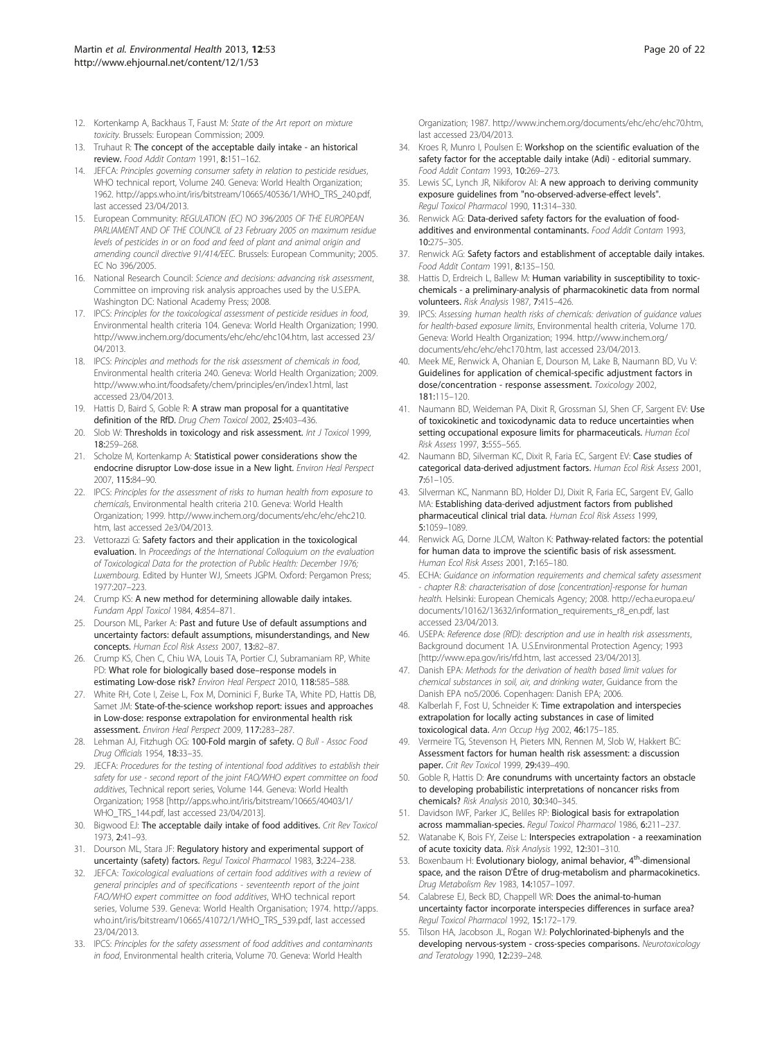- <span id="page-19-0"></span>12. Kortenkamp A, Backhaus T, Faust M: State of the Art report on mixture toxicity. Brussels: European Commission; 2009.
- 13. Truhaut R: The concept of the acceptable daily intake an historical review. Food Addit Contam 1991, 8:151–162.
- 14. JEFCA: Principles governing consumer safety in relation to pesticide residues, WHO technical report, Volume 240. Geneva: World Health Organization; 1962. [http://apps.who.int/iris/bitstream/10665/40536/1/WHO\\_TRS\\_240.pdf](http://apps.who.int/iris/bitstream/10665/40536/1/WHO_TRS_240.pdf), last accessed 23/04/2013.
- 15. European Community: REGULATION (EC) NO 396/2005 OF THE EUROPEAN PARLIAMENT AND OF THE COUNCIL of 23 February 2005 on maximum residue levels of pesticides in or on food and feed of plant and animal origin and amending council directive 91/414/EEC. Brussels: European Community; 2005. EC No 396/2005.
- 16. National Research Council: Science and decisions: advancing risk assessment, Committee on improving risk analysis approaches used by the U.S.EPA. Washington DC: National Academy Press; 2008.
- 17. IPCS: Principles for the toxicological assessment of pesticide residues in food, Environmental health criteria 104. Geneva: World Health Organization; 1990. [http://www.inchem.org/documents/ehc/ehc/ehc104.htm,](http://www.inchem.org/documents/ehc/ehc/ehc104.htm) last accessed 23/ 04/2013.
- 18. IPCS: Principles and methods for the risk assessment of chemicals in food, Environmental health criteria 240. Geneva: World Health Organization; 2009. <http://www.who.int/foodsafety/chem/principles/en/index1.html>, last accessed 23/04/2013.
- 19. Hattis D, Baird S, Goble R: A straw man proposal for a quantitative definition of the RfD. Drug Chem Toxicol 2002, 25:403–436.
- 20. Slob W: Thresholds in toxicology and risk assessment. Int J Toxicol 1999, 18:259–268.
- 21. Scholze M, Kortenkamp A: Statistical power considerations show the endocrine disruptor Low-dose issue in a New light. Environ Heal Perspect 2007, 115:84–90.
- 22. IPCS: Principles for the assessment of risks to human health from exposure to chemicals, Environmental health criteria 210. Geneva: World Health Organization; 1999. [http://www.inchem.org/documents/ehc/ehc/ehc210.](http://www.inchem.org/documents/ehc/ehc/ehc210.htm) [htm](http://www.inchem.org/documents/ehc/ehc/ehc210.htm), last accessed 2e3/04/2013.
- 23. Vettorazzi G: Safety factors and their application in the toxicological evaluation. In Proceedings of the International Colloquium on the evaluation of Toxicological Data for the protection of Public Health: December 1976; Luxembourg. Edited by Hunter WJ, Smeets JGPM. Oxford: Pergamon Press; 1977:207–223.
- 24. Crump KS: A new method for determining allowable daily intakes. Fundam Appl Toxicol 1984, 4:854–871.
- 25. Dourson ML, Parker A: Past and future Use of default assumptions and uncertainty factors: default assumptions, misunderstandings, and New concepts. Human Ecol Risk Assess 2007, 13:82–87.
- 26. Crump KS, Chen C, Chiu WA, Louis TA, Portier CJ, Subramaniam RP, White PD: What role for biologically based dose-response models in estimating Low-dose risk? Environ Heal Perspect 2010, 118:585–588.
- 27. White RH, Cote I, Zeise L, Fox M, Dominici F, Burke TA, White PD, Hattis DB, Samet JM: State-of-the-science workshop report: issues and approaches in Low-dose: response extrapolation for environmental health risk assessment. Environ Heal Perspect 2009, 117:283–287.
- 28. Lehman AJ, Fitzhugh OG: 100-Fold margin of safety. Q Bull Assoc Food Drug Officials 1954, 18:33–35.
- 29. JECFA: Procedures for the testing of intentional food additives to establish their safety for use - second report of the joint FAO/WHO expert committee on food additives, Technical report series, Volume 144. Geneva: World Health Organization; 1958 [\[http://apps.who.int/iris/bitstream/10665/40403/1/](http://apps.who.int/iris/bitstream/10665/40403/1/WHO_TRS_144.pdf) [WHO\\_TRS\\_144.pdf,](http://apps.who.int/iris/bitstream/10665/40403/1/WHO_TRS_144.pdf) last accessed 23/04/2013].
- 30. Bigwood EJ: The acceptable daily intake of food additives. Crit Rev Toxicol 1973, 2:41–93.
- 31. Dourson ML, Stara JF: Regulatory history and experimental support of uncertainty (safety) factors. Regul Toxicol Pharmacol 1983, 3:224–238.
- 32. JEFCA: Toxicological evaluations of certain food additives with a review of general principles and of specifications - seventeenth report of the joint FAO/WHO expert committee on food additives, WHO technical report series, Volume 539. Geneva: World Health Organisation; 1974. [http://apps.](http://apps.who.int/iris/bitstream/10665/41072/1/WHO_TRS_539.pdf) [who.int/iris/bitstream/10665/41072/1/WHO\\_TRS\\_539.pdf](http://apps.who.int/iris/bitstream/10665/41072/1/WHO_TRS_539.pdf), last accessed 23/04/2013.
- 33. IPCS: Principles for the safety assessment of food additives and contaminants in food, Environmental health criteria, Volume 70. Geneva: World Health

Organization; 1987. [http://www.inchem.org/documents/ehc/ehc/ehc70.htm,](http://www.inchem.org/documents/ehc/ehc/ehc70.htm) last accessed 23/04/2013.

- 34. Kroes R, Munro I, Poulsen E: Workshop on the scientific evaluation of the safety factor for the acceptable daily intake (Adi) - editorial summary. Food Addit Contam 1993, 10:269–273.
- 35. Lewis SC, Lynch JR, Nikiforov AI: A new approach to deriving community exposure guidelines from "no-observed-adverse-effect levels". Regul Toxicol Pharmacol 1990, 11:314–330.
- 36. Renwick AG: Data-derived safety factors for the evaluation of foodadditives and environmental contaminants. Food Addit Contam 1993, 10:275–305.
- 37. Renwick AG: Safety factors and establishment of acceptable daily intakes. Food Addit Contam 1991, 8:135–150.
- 38. Hattis D, Erdreich L, Ballew M: Human variability in susceptibility to toxicchemicals - a preliminary-analysis of pharmacokinetic data from normal volunteers. Risk Analysis 1987, 7:415–426.
- 39. IPCS: Assessing human health risks of chemicals: derivation of guidance values for health-based exposure limits, Environmental health criteria, Volume 170. Geneva: World Health Organization; 1994. [http://www.inchem.org/](http://www.inchem.org/documents/ehc/ehc/ehc170.htm) [documents/ehc/ehc/ehc170.htm](http://www.inchem.org/documents/ehc/ehc/ehc170.htm), last accessed 23/04/2013.
- 40. Meek ME, Renwick A, Ohanian E, Dourson M, Lake B, Naumann BD, Vu V: Guidelines for application of chemical-specific adjustment factors in dose/concentration - response assessment. Toxicology 2002, 181:115–120.
- 41. Naumann BD, Weideman PA, Dixit R, Grossman SJ, Shen CF, Sargent EV: Use of toxicokinetic and toxicodynamic data to reduce uncertainties when setting occupational exposure limits for pharmaceuticals. Human Ecol Risk Assess 1997, 3:555–565.
- 42. Naumann BD, Silverman KC, Dixit R, Faria EC, Sargent EV: Case studies of categorical data-derived adjustment factors. Human Ecol Risk Assess 2001, 7:61–105.
- 43. Silverman KC, Nanmann BD, Holder DJ, Dixit R, Faria EC, Sargent EV, Gallo MA: Establishing data-derived adjustment factors from published pharmaceutical clinical trial data. Human Ecol Risk Assess 1999, 5:1059–1089.
- Renwick AG, Dorne JLCM, Walton K: Pathway-related factors: the potential for human data to improve the scientific basis of risk assessment. Human Ecol Risk Assess 2001, 7:165–180.
- 45. ECHA: Guidance on information requirements and chemical safety assessment - chapter R.8: characterisation of dose [concentration]-response for human health. Helsinki: European Chemicals Agency; 2008. [http://echa.europa.eu/](http://echa.europa.eu/documents/10162/13632/information_requirements_r8_en.pdf) [documents/10162/13632/information\\_requirements\\_r8\\_en.pdf](http://echa.europa.eu/documents/10162/13632/information_requirements_r8_en.pdf), last accessed 23/04/2013.
- 46. USEPA: Reference dose (RfD): description and use in health risk assessments, Background document 1A. U.S.Environmental Protection Agency; 1993 [http://www.epa.gov/iris/rfd.htm, last accessed 23/04/2013].
- 47. Danish EPA: Methods for the derivation of health based limit values for chemical substances in soil, air, and drinking water, Guidance from the Danish EPA no5/2006. Copenhagen: Danish EPA; 2006.
- Kalberlah F, Fost U, Schneider K: Time extrapolation and interspecies extrapolation for locally acting substances in case of limited toxicological data. Ann Occup Hyg 2002, 46:175–185.
- Vermeire TG, Stevenson H, Pieters MN, Rennen M, Slob W, Hakkert BC: Assessment factors for human health risk assessment: a discussion paper. Crit Rev Toxicol 1999, 29:439–490.
- 50. Goble R, Hattis D: Are conundrums with uncertainty factors an obstacle to developing probabilistic interpretations of noncancer risks from chemicals? Risk Analysis 2010, 30:340–345.
- 51. Davidson IWF, Parker JC, Beliles RP: Biological basis for extrapolation across mammalian-species. Regul Toxicol Pharmacol 1986, 6:211–237.
- 52. Watanabe K, Bois FY, Zeise L: Interspecies extrapolation a reexamination of acute toxicity data. Risk Analysis 1992, 12:301–310.
- 53. Boxenbaum H: Evolutionary biology, animal behavior, 4<sup>th</sup>-dimensional space, and the raison D'Être of drug-metabolism and pharmacokinetics. Drug Metabolism Rev 1983, 14:1057–1097.
- 54. Calabrese EJ, Beck BD, Chappell WR: Does the animal-to-human uncertainty factor incorporate interspecies differences in surface area? Regul Toxicol Pharmacol 1992, 15:172–179.
- 55. Tilson HA, Jacobson JL, Rogan WJ: Polychlorinated-biphenyls and the developing nervous-system - cross-species comparisons. Neurotoxicology and Teratology 1990, 12:239–248.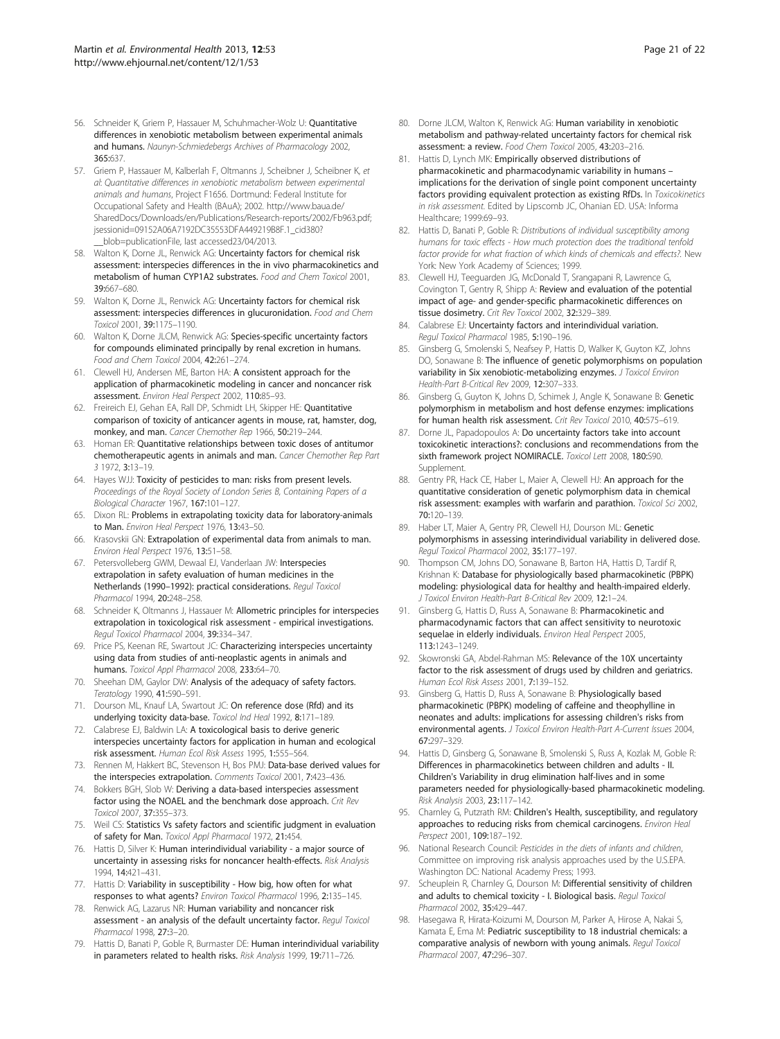- <span id="page-20-0"></span>56. Schneider K, Griem P, Hassauer M, Schuhmacher-Wolz U: Quantitative differences in xenobiotic metabolism between experimental animals and humans. Naunyn-Schmiedebergs Archives of Pharmacology 2002, 365:637.
- 57. Griem P, Hassauer M, Kalberlah F, Oltmanns J, Scheibner J, Scheibner K, et al: Quantitative differences in xenobiotic metabolism between experimental animals and humans, Project F1656. Dortmund: Federal Institute for Occupational Safety and Health (BAuA); 2002. [http://www.baua.de/](http://www.baua.de/SharedDocs/Downloads/en/Publications/Research-reports/2002/Fb963.pdf;jsessionid=09152A06A7192DC35553DFA449219B8F.1_cid380?__blob=publicationFile) [SharedDocs/Downloads/en/Publications/Research-reports/2002/Fb963.pdf;](http://www.baua.de/SharedDocs/Downloads/en/Publications/Research-reports/2002/Fb963.pdf;jsessionid=09152A06A7192DC35553DFA449219B8F.1_cid380?__blob=publicationFile) [jsessionid=09152A06A7192DC35553DFA449219B8F.1\\_cid380?](http://www.baua.de/SharedDocs/Downloads/en/Publications/Research-reports/2002/Fb963.pdf;jsessionid=09152A06A7192DC35553DFA449219B8F.1_cid380?__blob=publicationFile) [\\_\\_blob=publicationFile,](http://www.baua.de/SharedDocs/Downloads/en/Publications/Research-reports/2002/Fb963.pdf;jsessionid=09152A06A7192DC35553DFA449219B8F.1_cid380?__blob=publicationFile) last accessed23/04/2013.
- 58. Walton K, Dorne JL, Renwick AG: Uncertainty factors for chemical risk assessment: interspecies differences in the in vivo pharmacokinetics and metabolism of human CYP1A2 substrates. Food and Chem Toxicol 2001, 39:667–680.
- 59. Walton K, Dorne JL, Renwick AG: Uncertainty factors for chemical risk assessment: interspecies differences in glucuronidation. Food and Chem Toxicol 2001, 39:1175–1190.
- 60. Walton K, Dorne JLCM, Renwick AG: Species-specific uncertainty factors for compounds eliminated principally by renal excretion in humans. Food and Chem Toxicol 2004, 42:261–274.
- 61. Clewell HJ, Andersen ME, Barton HA: A consistent approach for the application of pharmacokinetic modeling in cancer and noncancer risk assessment. Environ Heal Perspect 2002, 110:85–93.
- 62. Freireich EJ, Gehan EA, Rall DP, Schmidt LH, Skipper HE: Quantitative comparison of toxicity of anticancer agents in mouse, rat, hamster, dog, monkey, and man. Cancer Chemother Rep 1966, 50:219–244.
- 63. Homan ER: Quantitative relationships between toxic doses of antitumor chemotherapeutic agents in animals and man. Cancer Chemother Rep Part 3 1972, 3:13–19.
- 64. Hayes WJJ: Toxicity of pesticides to man: risks from present levels. Proceedings of the Royal Society of London Series B, Containing Papers of a Biological Character 1967, 167:101–127.
- 65. Dixon RL: Problems in extrapolating toxicity data for laboratory-animals to Man. Environ Heal Perspect 1976, 13:43-50.
- 66. Krasovskii GN: Extrapolation of experimental data from animals to man. Environ Heal Perspect 1976, 13:51–58.
- 67. Petersvolleberg GWM, Dewaal EJ, Vanderlaan JW: Interspecies extrapolation in safety evaluation of human medicines in the Netherlands (1990–1992): practical considerations. Regul Toxicol Pharmacol 1994, 20:248–258.
- 68. Schneider K, Oltmanns J, Hassauer M: Allometric principles for interspecies extrapolation in toxicological risk assessment - empirical investigations. Regul Toxicol Pharmacol 2004, 39:334–347.
- 69. Price PS, Keenan RE, Swartout JC: Characterizing interspecies uncertainty using data from studies of anti-neoplastic agents in animals and humans. Toxicol Appl Pharmacol 2008, 233:64–70.
- 70. Sheehan DM, Gaylor DW: Analysis of the adequacy of safety factors. Teratology 1990, 41:590–591.
- 71. Dourson ML, Knauf LA, Swartout JC: On reference dose (Rfd) and its underlying toxicity data-base. Toxicol Ind Heal 1992, 8:171–189.
- 72. Calabrese EJ, Baldwin LA: A toxicological basis to derive generic interspecies uncertainty factors for application in human and ecological risk assessment. Human Ecol Risk Assess 1995, 1:555–564.
- 73. Rennen M, Hakkert BC, Stevenson H, Bos PMJ: Data-base derived values for the interspecies extrapolation. Comments Toxicol 2001, 7:423–436.
- 74. Bokkers BGH, Slob W: Deriving a data-based interspecies assessment factor using the NOAEL and the benchmark dose approach. Crit Rev Toxicol 2007, 37:355–373.
- 75. Weil CS: Statistics Vs safety factors and scientific judgment in evaluation of safety for Man. Toxicol Appl Pharmacol 1972, 21:454.
- 76. Hattis D, Silver K: Human interindividual variability a major source of uncertainty in assessing risks for noncancer health-effects. Risk Analysis 1994, 14:421–431.
- 77. Hattis D: Variability in susceptibility How big, how often for what responses to what agents? Environ Toxicol Pharmacol 1996, 2:135–145.
- 78. Renwick AG, Lazarus NR: Human variability and noncancer risk assessment - an analysis of the default uncertainty factor. Regul Toxicol Pharmacol 1998, 27:3–20.
- 79. Hattis D, Banati P, Goble R, Burmaster DE: Human interindividual variability in parameters related to health risks. Risk Analysis 1999, 19:711-726.
- 80. Dorne JLCM, Walton K, Renwick AG: Human variability in xenobiotic metabolism and pathway-related uncertainty factors for chemical risk assessment: a review. Food Chem Toxicol 2005, 43:203–216.
- 81. Hattis D, Lynch MK: Empirically observed distributions of pharmacokinetic and pharmacodynamic variability in humans – implications for the derivation of single point component uncertainty factors providing equivalent protection as existing RfDs. In Toxicokinetics in risk assessment. Edited by Lipscomb JC, Ohanian ED. USA: Informa Healthcare; 1999:69–93.
- 82. Hattis D, Banati P, Goble R: Distributions of individual susceptibility among humans for toxic effects - How much protection does the traditional tenfold factor provide for what fraction of which kinds of chemicals and effects?. New York: New York Academy of Sciences; 1999.
- 83. Clewell HJ, Teeguarden JG, McDonald T, Srangapani R, Lawrence G, Covington T, Gentry R, Shipp A: Review and evaluation of the potential impact of age- and gender-specific pharmacokinetic differences on tissue dosimetry. Crit Rev Toxicol 2002, 32:329–389.
- Calabrese EJ: Uncertainty factors and interindividual variation. Regul Toxicol Pharmacol 1985, 5:190–196.
- 85. Ginsberg G, Smolenski S, Neafsey P, Hattis D, Walker K, Guyton KZ, Johns DO, Sonawane B: The influence of genetic polymorphisms on population variability in Six xenobiotic-metabolizing enzymes. J Toxicol Environ Health-Part B-Critical Rev 2009, 12:307–333.
- 86. Ginsberg G, Guyton K, Johns D, Schimek J, Angle K, Sonawane B: Genetic polymorphism in metabolism and host defense enzymes: implications for human health risk assessment. Crit Rev Toxicol 2010, 40:575–619.
- Dorne JL, Papadopoulos A: Do uncertainty factors take into account toxicokinetic interactions?: conclusions and recommendations from the sixth framework project NOMIRACLE. Toxicol Lett 2008, 180:S90. Supplement.
- 88. Gentry PR, Hack CE, Haber L, Maier A, Clewell HJ: An approach for the quantitative consideration of genetic polymorphism data in chemical risk assessment: examples with warfarin and parathion. Toxicol Sci 2002, 70:120–139.
- 89. Haber LT, Maier A, Gentry PR, Clewell HJ, Dourson ML: Genetic polymorphisms in assessing interindividual variability in delivered dose. Regul Toxicol Pharmacol 2002, 35:177–197.
- 90. Thompson CM, Johns DO, Sonawane B, Barton HA, Hattis D, Tardif R, Krishnan K: Database for physiologically based pharmacokinetic (PBPK) modeling: physiological data for healthy and health-impaired elderly. J Toxicol Environ Health-Part B-Critical Rev 2009, 12:1–24.
- 91. Ginsberg G, Hattis D, Russ A, Sonawane B: Pharmacokinetic and pharmacodynamic factors that can affect sensitivity to neurotoxic sequelae in elderly individuals. Environ Heal Perspect 2005, 113:1243–1249.
- Skowronski GA, Abdel-Rahman MS: Relevance of the 10X uncertainty factor to the risk assessment of drugs used by children and geriatrics. Human Ecol Risk Assess 2001, 7:139–152.
- 93. Ginsberg G, Hattis D, Russ A, Sonawane B: Physiologically based pharmacokinetic (PBPK) modeling of caffeine and theophylline in neonates and adults: implications for assessing children's risks from environmental agents. J Toxicol Environ Health-Part A-Current Issues 2004, 67:297–329.
- 94. Hattis D, Ginsberg G, Sonawane B, Smolenski S, Russ A, Kozlak M, Goble R: Differences in pharmacokinetics between children and adults - II. Children's Variability in drug elimination half-lives and in some parameters needed for physiologically-based pharmacokinetic modeling. Risk Analysis 2003, 23:117–142.
- 95. Charnley G, Putzrath RM: Children's Health, susceptibility, and regulatory approaches to reducing risks from chemical carcinogens. Environ Heal Perspect 2001, 109:187–192.
- 96. National Research Council: Pesticides in the diets of infants and children, Committee on improving risk analysis approaches used by the U.S.EPA. Washington DC: National Academy Press; 1993.
- 97. Scheuplein R, Charnley G, Dourson M: Differential sensitivity of children and adults to chemical toxicity - I. Biological basis. Regul Toxicol Pharmacol 2002, 35:429-447.
- 98. Hasegawa R, Hirata-Koizumi M, Dourson M, Parker A, Hirose A, Nakai S, Kamata E, Ema M: Pediatric susceptibility to 18 industrial chemicals: a comparative analysis of newborn with young animals. Regul Toxicol Pharmacol 2007, 47:296-307.